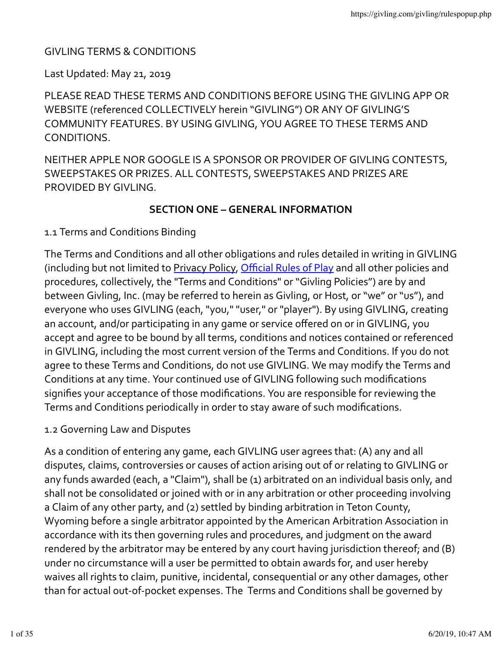# **GIVLING TERMS & CONDITIONS**

### Last Updated: May 21, 2019

PLEASE READ THESE TERMS AND CONDITIONS BEFORE USING THE GIVLING APP OR WEBSITE (referenced COLLECTIVELY herein "GIVLING") OR ANY OF GIVLING'S COMMUNITY FEATURES. BY USING GIVLING, YOU AGREE TO THESE TERMS AND CONDITIONS.

NEITHER APPLE NOR GOOGLE IS A SPONSOR OR PROVIDER OF GIVLING CONTESTS, SWEEPSTAKES OR PRIZES. ALL CONTESTS, SWEEPSTAKES AND PRIZES ARE PROVIDED BY GIVLING.

## **SECTION ONE – GENERAL INFORMATION**

1.1 Terms and Conditions Binding

The Terms and Conditions and all other obligations and rules detailed in writing in GIVLING (including but not limited to Privacy Policy, Official Rules of Play and all other policies and procedures, collectively, the "Terms and Conditions" or "Givling Policies") are by and between Givling, Inc. (may be referred to herein as Givling, or Host, or "we" or "us"), and everyone who uses GIVLING (each, "you," "user," or "player"). By using GIVLING, creating an account, and/or participating in any game or service offered on or in GIVLING, you accept and agree to be bound by all terms, conditions and notices contained or referenced in GIVLING, including the most current version of the Terms and Conditions. If you do not agree to these Terms and Conditions, do not use GIVLING. We may modify the Terms and Conditions at any time. Your continued use of GIVLING following such modifications signifies your acceptance of those modifications. You are responsible for reviewing the Terms and Conditions periodically in order to stay aware of such modifications.

### 1.2 Governing Law and Disputes

As a condition of entering any game, each GIVLING user agrees that: (A) any and all disputes, claims, controversies or causes of action arising out of or relating to GIVLING or any funds awarded (each, a "Claim"), shall be (1) arbitrated on an individual basis only, and shall not be consolidated or joined with or in any arbitration or other proceeding involving a Claim of any other party, and (2) settled by binding arbitration in Teton County, Wyoming before a single arbitrator appointed by the American Arbitration Association in accordance with its then governing rules and procedures, and judgment on the award rendered by the arbitrator may be entered by any court having jurisdiction thereof; and (B) under no circumstance will a user be permitted to obtain awards for, and user hereby waives all rights to claim, punitive, incidental, consequential or any other damages, other than for actual out-of-pocket expenses. The Terms and Conditions shall be governed by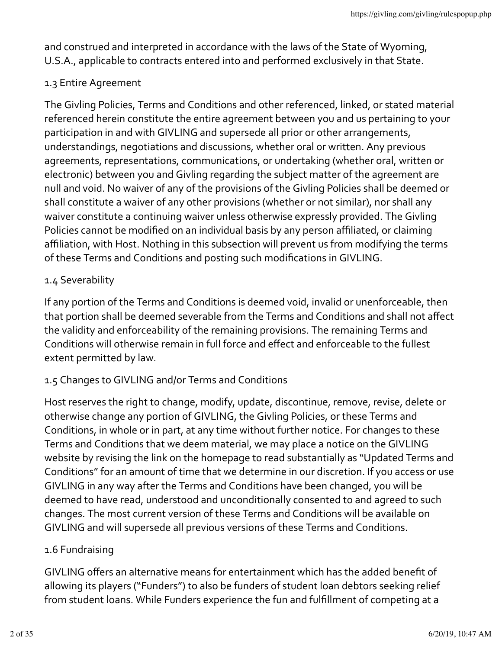and construed and interpreted in accordance with the laws of the State of Wyoming, U.S.A., applicable to contracts entered into and performed exclusively in that State.

# 1.3 Entire Agreement

The Givling Policies, Terms and Conditions and other referenced, linked, or stated material referenced herein constitute the entire agreement between you and us pertaining to your participation in and with GIVLING and supersede all prior or other arrangements, understandings, negotiations and discussions, whether oral or written. Any previous agreements, representations, communications, or undertaking (whether oral, written or electronic) between you and Givling regarding the subject matter of the agreement are null and void. No waiver of any of the provisions of the Givling Policies shall be deemed or shall constitute a waiver of any other provisions (whether or not similar), nor shall any waiver constitute a continuing waiver unless otherwise expressly provided. The Givling Policies cannot be modified on an individual basis by any person affiliated, or claiming affiliation, with Host. Nothing in this subsection will prevent us from modifying the terms of these Terms and Conditions and posting such modifications in GIVLING.

# 1.4 Severability

If any portion of the Terms and Conditions is deemed void, invalid or unenforceable, then that portion shall be deemed severable from the Terms and Conditions and shall not affect the validity and enforceability of the remaining provisions. The remaining Terms and Conditions will otherwise remain in full force and effect and enforceable to the fullest extent permitted by law.

# 1.5 Changes to GIVLING and/or Terms and Conditions

Host reserves the right to change, modify, update, discontinue, remove, revise, delete or otherwise change any portion of GIVLING, the Givling Policies, or these Terms and Conditions, in whole or in part, at any time without further notice. For changes to these Terms and Conditions that we deem material, we may place a notice on the GIVLING website by revising the link on the homepage to read substantially as "Updated Terms and Conditions" for an amount of time that we determine in our discretion. If you access or use GIVLING in any way after the Terms and Conditions have been changed, you will be deemed to have read, understood and unconditionally consented to and agreed to such changes. The most current version of these Terms and Conditions will be available on GIVLING and will supersede all previous versions of these Terms and Conditions.

### 1.6 Fundraising

GIVLING offers an alternative means for entertainment which has the added benefit of allowing its players ("Funders") to also be funders of student loan debtors seeking relief from student loans. While Funders experience the fun and fulfillment of competing at a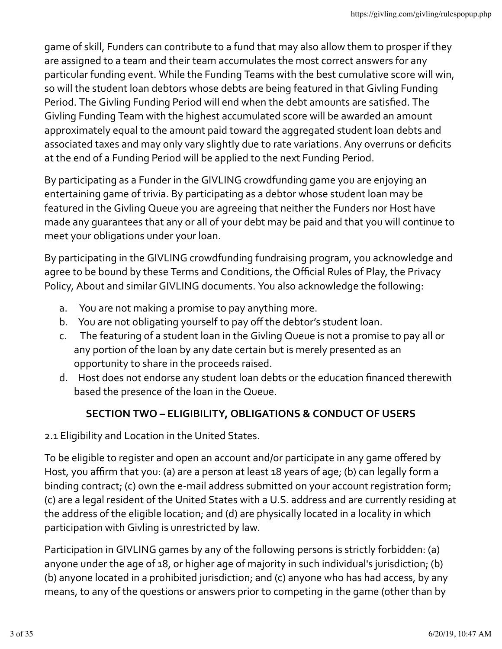game of skill, Funders can contribute to a fund that may also allow them to prosper if they are assigned to a team and their team accumulates the most correct answers for any particular funding event. While the Funding Teams with the best cumulative score will win, so will the student loan debtors whose debts are being featured in that Givling Funding Period. The Givling Funding Period will end when the debt amounts are satisfied. The Givling Funding Team with the highest accumulated score will be awarded an amount approximately equal to the amount paid toward the aggregated student loan debts and associated taxes and may only vary slightly due to rate variations. Any overruns or deficits at the end of a Funding Period will be applied to the next Funding Period.

By participating as a Funder in the GIVLING crowdfunding game you are enjoying an entertaining game of trivia. By participating as a debtor whose student loan may be featured in the Givling Queue you are agreeing that neither the Funders nor Host have made any quarantees that any or all of your debt may be paid and that you will continue to meet your obligations under your loan.

By participating in the GIVLING crowdfunding fundraising program, you acknowledge and agree to be bound by these Terms and Conditions, the Official Rules of Play, the Privacy Policy, About and similar GIVLING documents. You also acknowledge the following:

- a. You are not making a promise to pay anything more.
- b. You are not obligating yourself to pay off the debtor's student loan.
- c. The featuring of a student loan in the Givling Queue is not a promise to pay all or any portion of the loan by any date certain but is merely presented as an opportunity to share in the proceeds raised.
- d. Host does not endorse any student loan debts or the education financed therewith based the presence of the loan in the Queue.

# **SECTION TWO – ELIGIBILITY, OBLIGATIONS & CONDUCT OF USERS**

2.1 Eligibility and Location in the United States.

To be eligible to register and open an account and/or participate in any game offered by Host, you affirm that you: (a) are a person at least 18 years of age; (b) can legally form a binding contract; (c) own the e-mail address submitted on your account registration form; (c) are a legal resident of the United States with a U.S. address and are currently residing at the address of the eligible location; and (d) are physically located in a locality in which participation with Givling is unrestricted by law.

Participation in GIVLING games by any of the following persons is strictly forbidden: (a) anyone under the age of 18, or higher age of majority in such individual's jurisdiction; (b) (b) anyone located in a prohibited jurisdiction; and (c) anyone who has had access, by any means, to any of the questions or answers prior to competing in the game (other than by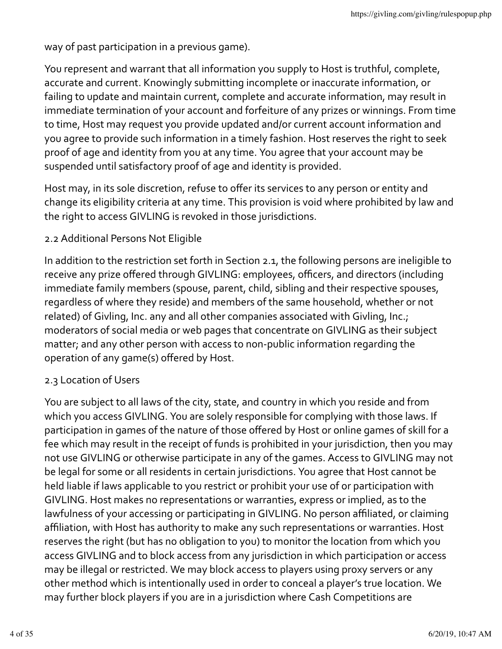way of past participation in a previous game).

You represent and warrant that all information you supply to Host is truthful, complete, accurate and current. Knowingly submitting incomplete or inaccurate information, or failing to update and maintain current, complete and accurate information, may result in immediate termination of your account and forfeiture of any prizes or winnings. From time to time, Host may request you provide updated and/or current account information and you agree to provide such information in a timely fashion. Host reserves the right to seek proof of age and identity from you at any time. You agree that your account may be suspended until satisfactory proof of age and identity is provided.

Host may, in its sole discretion, refuse to offer its services to any person or entity and change its eligibility criteria at any time. This provision is void where prohibited by law and the right to access GIVLING is revoked in those jurisdictions.

## 2.2 Additional Persons Not Eligible

In addition to the restriction set forth in Section 2.1, the following persons are ineligible to receive any prize offered through GIVLING: employees, officers, and directors (including immediate family members (spouse, parent, child, sibling and their respective spouses, regardless of where they reside) and members of the same household, whether or not related) of Givling, Inc. any and all other companies associated with Givling, Inc.; moderators of social media or web pages that concentrate on GIVLING as their subject matter; and any other person with access to non-public information regarding the operation of any game(s) offered by Host.

### 2.3 Location of Users

You are subject to all laws of the city, state, and country in which you reside and from which you access GIVLING. You are solely responsible for complying with those laws. If participation in games of the nature of those offered by Host or online games of skill for a fee which may result in the receipt of funds is prohibited in your jurisdiction, then you may not use GIVLING or otherwise participate in any of the games. Access to GIVLING may not be legal for some or all residents in certain jurisdictions. You agree that Host cannot be held liable if laws applicable to you restrict or prohibit your use of or participation with GIVLING. Host makes no representations or warranties, express or implied, as to the lawfulness of your accessing or participating in GIVLING. No person affiliated, or claiming affiliation, with Host has authority to make any such representations or warranties. Host reserves the right (but has no obligation to you) to monitor the location from which you access GIVLING and to block access from any jurisdiction in which participation or access may be illegal or restricted. We may block access to players using proxy servers or any other method which is intentionally used in order to conceal a player's true location. We may further block players if you are in a jurisdiction where Cash Competitions are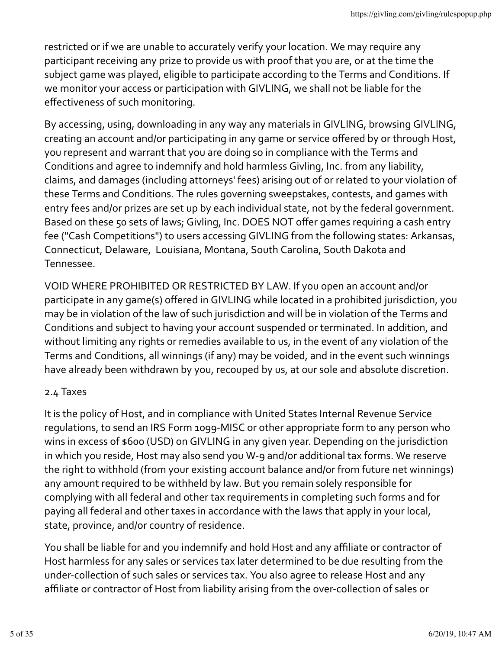restricted or if we are unable to accurately verify your location. We may require any participant receiving any prize to provide us with proof that you are, or at the time the subject game was played, eligible to participate according to the Terms and Conditions. If we monitor your access or participation with GIVLING, we shall not be liable for the effectiveness of such monitoring.

By accessing, using, downloading in any way any materials in GIVLING, browsing GIVLING, creating an account and/or participating in any game or service offered by or through Host, you represent and warrant that you are doing so in compliance with the Terms and Conditions and agree to indemnify and hold harmless Givling, Inc. from any liability, claims, and damages (including attorneys' fees) arising out of or related to your violation of these Terms and Conditions. The rules governing sweepstakes, contests, and games with entry fees and/or prizes are set up by each individual state, not by the federal government. Based on these 50 sets of laws; Givling, Inc. DOES NOT offer games requiring a cash entry fee ("Cash Competitions") to users accessing GIVLING from the following states: Arkansas, Connecticut, Delaware, Louisiana, Montana, South Carolina, South Dakota and Tennessee.

VOID WHERE PROHIBITED OR RESTRICTED BY LAW. If you open an account and/or participate in any game(s) offered in GIVLING while located in a prohibited jurisdiction, you may be in violation of the law of such jurisdiction and will be in violation of the Terms and Conditions and subject to having your account suspended or terminated. In addition, and without limiting any rights or remedies available to us, in the event of any violation of the Terms and Conditions, all winnings (if any) may be voided, and in the event such winnings have already been withdrawn by you, recouped by us, at our sole and absolute discretion.

### 2.4 Taxes

It is the policy of Host, and in compliance with United States Internal Revenue Service regulations, to send an IRS Form 1099-MISC or other appropriate form to any person who wins in excess of \$600 (USD) on GIVLING in any given year. Depending on the jurisdiction in which you reside, Host may also send you W-9 and/or additional tax forms. We reserve the right to withhold (from your existing account balance and/or from future net winnings) any amount required to be withheld by law. But you remain solely responsible for complying with all federal and other tax requirements in completing such forms and for paying all federal and other taxes in accordance with the laws that apply in your local, state, province, and/or country of residence.

You shall be liable for and you indemnify and hold Host and any affiliate or contractor of Host harmless for any sales or services tax later determined to be due resulting from the under-collection of such sales or services tax. You also agree to release Host and any affiliate or contractor of Host from liability arising from the over-collection of sales or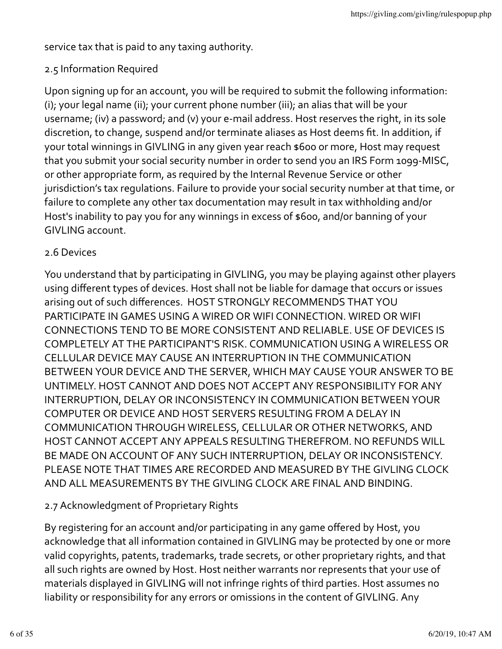service tax that is paid to any taxing authority.

# 2.5 Information Required

Upon signing up for an account, you will be required to submit the following information: (i); your legal name (ii); your current phone number (iii); an alias that will be your username; (iv) a password; and (v) your e-mail address. Host reserves the right, in its sole discretion, to change, suspend and/or terminate aliases as Host deems fit. In addition, if your total winnings in GIVLING in any given year reach \$600 or more, Host may request that you submit your social security number in order to send you an IRS Form 1099-MISC, or other appropriate form, as required by the Internal Revenue Service or other jurisdiction's tax regulations. Failure to provide your social security number at that time, or failure to complete any other tax documentation may result in tax withholding and/or Host's inability to pay you for any winnings in excess of \$600, and/or banning of your GIVLING account.

### 2.6 Devices

You understand that by participating in GIVLING, you may be playing against other players using different types of devices. Host shall not be liable for damage that occurs or issues arising out of such differences. HOST STRONGLY RECOMMENDS THAT YOU PARTICIPATE IN GAMES USING A WIRED OR WIFI CONNECTION. WIRED OR WIFI CONNECTIONS TEND TO BE MORE CONSISTENT AND RELIABLE. USE OF DEVICES IS COMPLETELY AT THE PARTICIPANT'S RISK. COMMUNICATION USING A WIRELESS OR CELLULAR DEVICE MAY CAUSE AN INTERRUPTION IN THE COMMUNICATION BETWEEN YOUR DEVICE AND THE SERVER, WHICH MAY CAUSE YOUR ANSWER TO BE UNTIMELY. HOST CANNOT AND DOES NOT ACCEPT ANY RESPONSIBILITY FOR ANY INTERRUPTION, DELAY OR INCONSISTENCY IN COMMUNICATION BETWEEN YOUR COMPUTER OR DEVICE AND HOST SERVERS RESULTING FROM A DELAY IN COMMUNICATION THROUGH WIRELESS, CELLULAR OR OTHER NETWORKS, AND HOST CANNOT ACCEPT ANY APPEALS RESULTING THEREFROM. NO REFUNDS WILL BE MADE ON ACCOUNT OF ANY SUCH INTERRUPTION, DELAY OR INCONSISTENCY. PLEASE NOTE THAT TIMES ARE RECORDED AND MEASURED BY THE GIVLING CLOCK AND ALL MEASUREMENTS BY THE GIVLING CLOCK ARE FINAL AND BINDING.

# 2.7 Acknowledgment of Proprietary Rights

By registering for an account and/or participating in any game offered by Host, you acknowledge that all information contained in GIVLING may be protected by one or more valid copyrights, patents, trademarks, trade secrets, or other proprietary rights, and that all such rights are owned by Host. Host neither warrants nor represents that your use of materials displayed in GIVLING will not infringe rights of third parties. Host assumes no liability or responsibility for any errors or omissions in the content of GIVLING. Any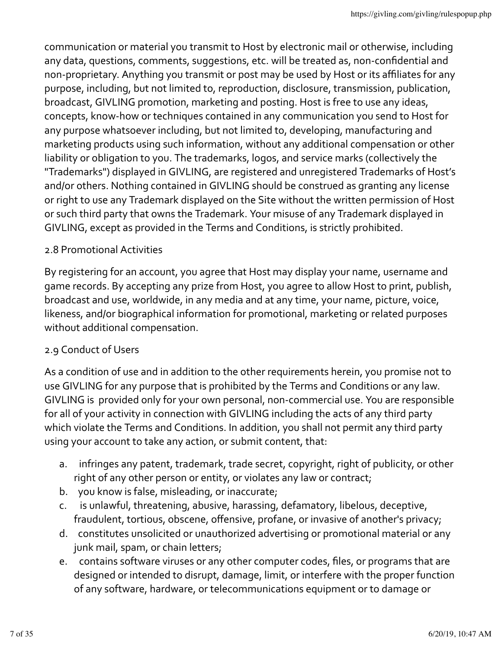communication or material you transmit to Host by electronic mail or otherwise, including any data, questions, comments, suggestions, etc. will be treated as, non-confidential and non-proprietary. Anything you transmit or post may be used by Host or its affiliates for any purpose, including, but not limited to, reproduction, disclosure, transmission, publication, broadcast, GIVLING promotion, marketing and posting. Host is free to use any ideas, concepts, know-how or techniques contained in any communication you send to Host for any purpose whatsoever including, but not limited to, developing, manufacturing and marketing products using such information, without any additional compensation or other liability or obligation to you. The trademarks, logos, and service marks (collectively the "Trademarks") displayed in GIVLING, are registered and unregistered Trademarks of Host's and/or others. Nothing contained in GIVLING should be construed as granting any license or right to use any Trademark displayed on the Site without the written permission of Host or such third party that owns the Trademark. Your misuse of any Trademark displayed in GIVLING, except as provided in the Terms and Conditions, is strictly prohibited.

## 2.8 Promotional Activities

By registering for an account, you agree that Host may display your name, username and game records. By accepting any prize from Host, you agree to allow Host to print, publish, broadcast and use, worldwide, in any media and at any time, your name, picture, voice, likeness, and/or biographical information for promotional, marketing or related purposes without additional compensation.

# 2.9 Conduct of Users

As a condition of use and in addition to the other requirements herein, you promise not to use GIVLING for any purpose that is prohibited by the Terms and Conditions or any law. GIVLING is provided only for your own personal, non-commercial use. You are responsible for all of your activity in connection with GIVLING including the acts of any third party which violate the Terms and Conditions. In addition, you shall not permit any third party using your account to take any action, or submit content, that:

- a. infringes any patent, trademark, trade secret, copyright, right of publicity, or other right of any other person or entity, or violates any law or contract;
- b. you know is false, misleading, or inaccurate;
- c. is unlawful, threatening, abusive, harassing, defamatory, libelous, deceptive, fraudulent, tortious, obscene, offensive, profane, or invasive of another's privacy;
- d. constitutes unsolicited or unauthorized advertising or promotional material or any junk mail, spam, or chain letters;
- e. contains software viruses or any other computer codes, files, or programs that are designed or intended to disrupt, damage, limit, or interfere with the proper function of any software, hardware, or telecommunications equipment or to damage or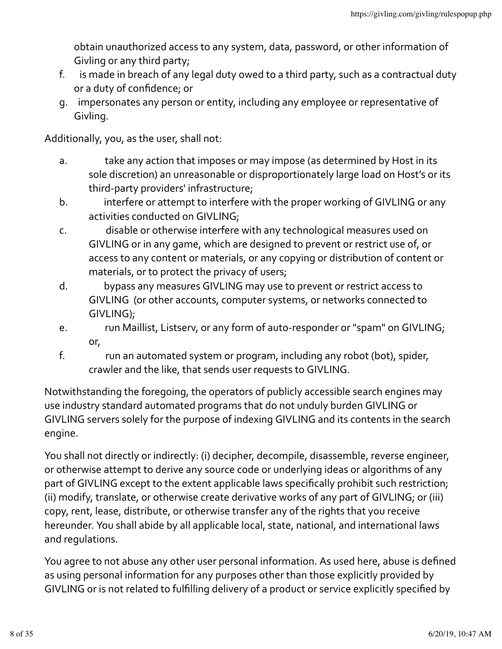obtain unauthorized access to any system, data, password, or other information of Givling or any third party;

- f. is made in breach of any legal duty owed to a third party, such as a contractual duty or a duty of confidence; or
- g. impersonates any person or entity, including any employee or representative of Givling.

Additionally, you, as the user, shall not:

- a. take any action that imposes or may impose (as determined by Host in its sole discretion) an unreasonable or disproportionately large load on Host's or its third-party providers' infrastructure;
- b. interfere or attempt to interfere with the proper working of GIVLING or any activities conducted on GIVLING;
- c. disable or otherwise interfere with any technological measures used on GIVLING or in any game, which are designed to prevent or restrict use of, or access to any content or materials, or any copying or distribution of content or materials, or to protect the privacy of users;
- d. bypass any measures GIVLING may use to prevent or restrict access to GIVLING (or other accounts, computer systems, or networks connected to GIVLING);
- e. The Maillist, Listsery, or any form of auto-responder or "spam" on GIVLING; or,
- f. The run an automated system or program, including any robot (bot), spider, crawler and the like, that sends user requests to GIVLING.

Notwithstanding the foregoing, the operators of publicly accessible search engines may use industry standard automated programs that do not unduly burden GIVLING or GIVLING servers solely for the purpose of indexing GIVLING and its contents in the search engine.

You shall not directly or indirectly: (i) decipher, decompile, disassemble, reverse engineer, or otherwise attempt to derive any source code or underlying ideas or algorithms of any part of GIVLING except to the extent applicable laws specifically prohibit such restriction; (ii) modify, translate, or otherwise create derivative works of any part of GIVLING; or (iii) copy, rent, lease, distribute, or otherwise transfer any of the rights that you receive hereunder. You shall abide by all applicable local, state, national, and international laws and requlations.

You agree to not abuse any other user personal information. As used here, abuse is defined as using personal information for any purposes other than those explicitly provided by GIVLING or is not related to fulfilling delivery of a product or service explicitly specified by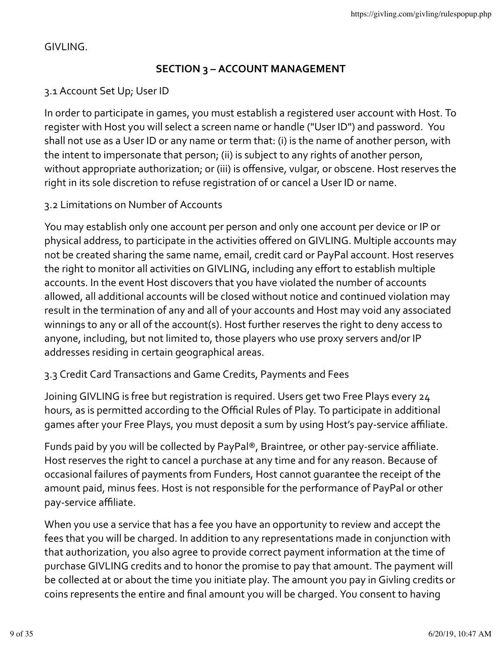GIVLING.

# **SECTION 3 – ACCOUNT MANAGEMENT**

# 3.1 Account Set Up; User ID

In order to participate in games, you must establish a registered user account with Host. To register with Host you will select a screen name or handle ("User ID") and password. You shall not use as a User ID or any name or term that: (i) is the name of another person, with the intent to impersonate that person; (ii) is subject to any rights of another person, without appropriate authorization; or (iii) is offensive, vulgar, or obscene. Host reserves the right in its sole discretion to refuse registration of or cancel a User ID or name.

### 3.2 Limitations on Number of Accounts

You may establish only one account per person and only one account per device or IP or physical address, to participate in the activities offered on GIVLING. Multiple accounts may not be created sharing the same name, email, credit card or PayPal account. Host reserves the right to monitor all activities on GIVLING, including any effort to establish multiple accounts. In the event Host discovers that you have violated the number of accounts allowed, all additional accounts will be closed without notice and continued violation may result in the termination of any and all of your accounts and Host may void any associated winnings to any or all of the account(s). Host further reserves the right to deny access to anyone, including, but not limited to, those players who use proxy servers and/or IP addresses residing in certain geographical areas.

### 3.3 Credit Card Transactions and Game Credits, Payments and Fees

Joining GIVLING is free but registration is required. Users get two Free Plays every 24 hours, as is permitted according to the Official Rules of Play. To participate in additional games after your Free Plays, you must deposit a sum by using Host's pay-service affiliate.

Funds paid by you will be collected by PayPal®, Braintree, or other pay-service affiliate. Host reserves the right to cancel a purchase at any time and for any reason. Because of occasional failures of payments from Funders, Host cannot quarantee the receipt of the amount paid, minus fees. Host is not responsible for the performance of PayPal or other pay-service affiliate.

When you use a service that has a fee you have an opportunity to review and accept the fees that you will be charged. In addition to any representations made in conjunction with that authorization, you also agree to provide correct payment information at the time of purchase GIVLING credits and to honor the promise to pay that amount. The payment will be collected at or about the time you initiate play. The amount you pay in Givling credits or coins represents the entire and final amount you will be charged. You consent to having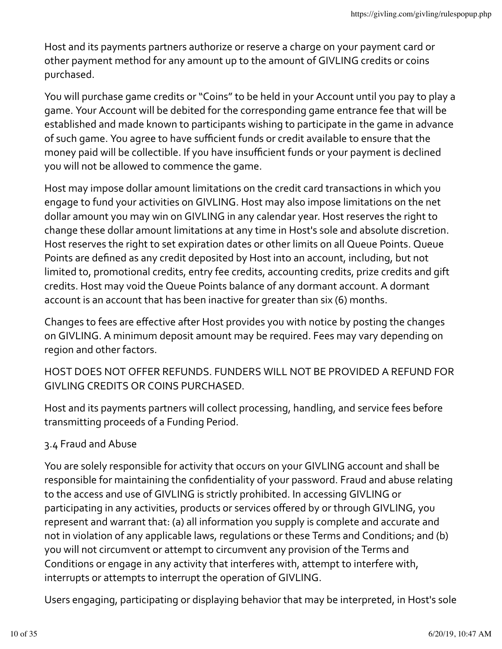Host and its payments partners authorize or reserve a charge on your payment card or other payment method for any amount up to the amount of GIVLING credits or coins purchased.

You will purchase game credits or "Coins" to be held in your Account until you pay to play a game. Your Account will be debited for the corresponding game entrance fee that will be established and made known to participants wishing to participate in the game in advance of such game. You agree to have sufficient funds or credit available to ensure that the money paid will be collectible. If you have insufficient funds or your payment is declined you will not be allowed to commence the game.

Host may impose dollar amount limitations on the credit card transactions in which you engage to fund your activities on GIVLING. Host may also impose limitations on the net dollar amount you may win on GIVLING in any calendar year. Host reserves the right to change these dollar amount limitations at any time in Host's sole and absolute discretion. Host reserves the right to set expiration dates or other limits on all Queue Points. Queue Points are defined as any credit deposited by Host into an account, including, but not limited to, promotional credits, entry fee credits, accounting credits, prize credits and gift credits. Host may void the Queue Points balance of any dormant account. A dormant account is an account that has been inactive for greater than six (6) months.

Changes to fees are effective after Host provides you with notice by posting the changes on GIVLING. A minimum deposit amount may be required. Fees may vary depending on region and other factors.

HOST DOES NOT OFFER REFUNDS. FUNDERS WILL NOT BE PROVIDED A REFUND FOR GIVLING CREDITS OR COINS PURCHASED.

Host and its payments partners will collect processing, handling, and service fees before transmitting proceeds of a Funding Period.

# 3.4 Fraud and Abuse

You are solely responsible for activity that occurs on your GIVLING account and shall be responsible for maintaining the confidentiality of your password. Fraud and abuse relating to the access and use of GIVLING is strictly prohibited. In accessing GIVLING or participating in any activities, products or services offered by or through GIVLING, you represent and warrant that: (a) all information you supply is complete and accurate and not in violation of any applicable laws, regulations or these Terms and Conditions; and (b) you will not circumvent or attempt to circumvent any provision of the Terms and Conditions or engage in any activity that interferes with, attempt to interfere with, interrupts or attempts to interrupt the operation of GIVLING.

Users engaging, participating or displaying behavior that may be interpreted, in Host's sole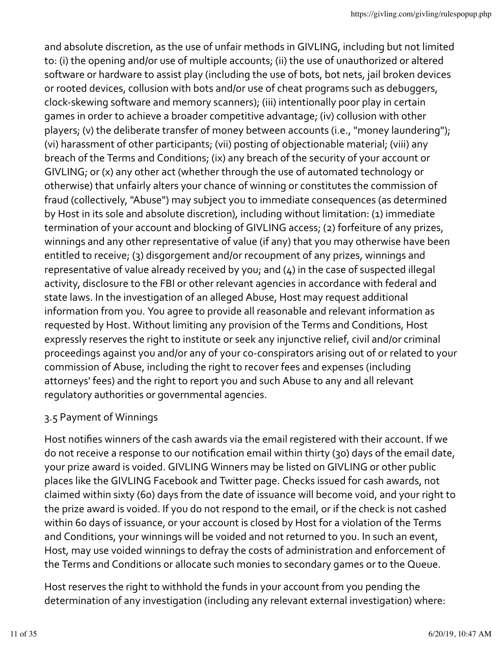and absolute discretion, as the use of unfair methods in GIVLING, including but not limited to: (i) the opening and/or use of multiple accounts; (ii) the use of unauthorized or altered software or hardware to assist play (including the use of bots, bot nets, jail broken devices or rooted devices, collusion with bots and/or use of cheat programs such as debuggers, clock-skewing software and memory scanners); (iii) intentionally poor play in certain games in order to achieve a broader competitive advantage; (iv) collusion with other players; (v) the deliberate transfer of money between accounts (i.e., "money laundering"); (vi) harassment of other participants; (vii) posting of objectionable material; (viii) any breach of the Terms and Conditions; (ix) any breach of the security of your account or GIVLING; or (x) any other act (whether through the use of automated technology or otherwise) that unfairly alters your chance of winning or constitutes the commission of fraud (collectively, "Abuse") may subject you to immediate consequences (as determined by Host in its sole and absolute discretion), including without limitation: (1) immediate termination of your account and blocking of GIVLING access; (2) forfeiture of any prizes, winnings and any other representative of value (if any) that you may otherwise have been entitled to receive; (3) disgorgement and/or recoupment of any prizes, winnings and representative of value already received by you; and  $(4)$  in the case of suspected illegal activity, disclosure to the FBI or other relevant agencies in accordance with federal and state laws. In the investigation of an alleged Abuse, Host may request additional information from you. You agree to provide all reasonable and relevant information as requested by Host. Without limiting any provision of the Terms and Conditions, Host expressly reserves the right to institute or seek any injunctive relief, civil and/or criminal proceedings against you and/or any of your co-conspirators arising out of or related to your commission of Abuse, including the right to recover fees and expenses (including attorneys' fees) and the right to report you and such Abuse to any and all relevant regulatory authorities or governmental agencies.

# 3.5 Payment of Winnings

Host notifies winners of the cash awards via the email registered with their account. If we do not receive a response to our notification email within thirty (30) days of the email date, your prize award is voided. GIVLING Winners may be listed on GIVLING or other public places like the GIVLING Facebook and Twitter page. Checks issued for cash awards, not claimed within sixty (60) days from the date of issuance will become void, and your right to the prize award is voided. If you do not respond to the email, or if the check is not cashed within 60 days of issuance, or your account is closed by Host for a violation of the Terms and Conditions, your winnings will be voided and not returned to you. In such an event, Host, may use voided winnings to defray the costs of administration and enforcement of the Terms and Conditions or allocate such monies to secondary games or to the Queue.

Host reserves the right to withhold the funds in your account from you pending the determination of any investigation (including any relevant external investigation) where: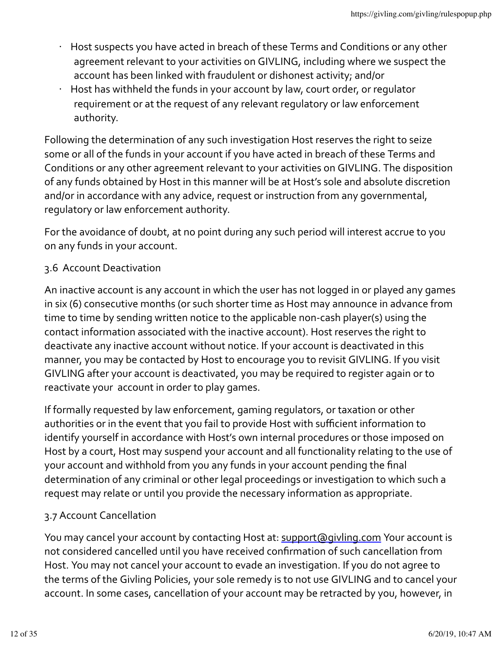- Host suspects you have acted in breach of these Terms and Conditions or any other agreement relevant to your activities on GIVLING, including where we suspect the account has been linked with fraudulent or dishonest activity; and/or
- Host has withheld the funds in your account by law, court order, or regulator requirement or at the request of any relevant requlatory or law enforcement authority.

Following the determination of any such investigation Host reserves the right to seize some or all of the funds in your account if you have acted in breach of these Terms and Conditions or any other agreement relevant to your activities on GIVLING. The disposition of any funds obtained by Host in this manner will be at Host's sole and absolute discretion and/or in accordance with any advice, request or instruction from any governmental, regulatory or law enforcement authority.

For the avoidance of doubt, at no point during any such period will interest accrue to you on any funds in your account.

# 3.6 Account Deactivation

An inactive account is any account in which the user has not logged in or played any games in six (6) consecutive months (or such shorter time as Host may announce in advance from time to time by sending written notice to the applicable non-cash player(s) using the contact information associated with the inactive account). Host reserves the right to deactivate any inactive account without notice. If your account is deactivated in this manner, you may be contacted by Host to encourage you to revisit GIVLING. If you visit GIVLING after your account is deactivated, you may be required to register again or to reactivate your account in order to play games.

If formally requested by law enforcement, gaming regulators, or taxation or other authorities or in the event that you fail to provide Host with sufficient information to identify yourself in accordance with Host's own internal procedures or those imposed on Host by a court, Host may suspend your account and all functionality relating to the use of your account and withhold from you any funds in your account pending the final determination of any criminal or other legal proceedings or investigation to which such a request may relate or until you provide the necessary information as appropriate.

# 3.7 Account Cancellation

You may cancel your account by contacting Host at: support@givling.com Your account is not considered cancelled until you have received confirmation of such cancellation from Host. You may not cancel your account to evade an investigation. If you do not agree to the terms of the Givling Policies, your sole remedy is to not use GIVLING and to cancel your account. In some cases, cancellation of your account may be retracted by you, however, in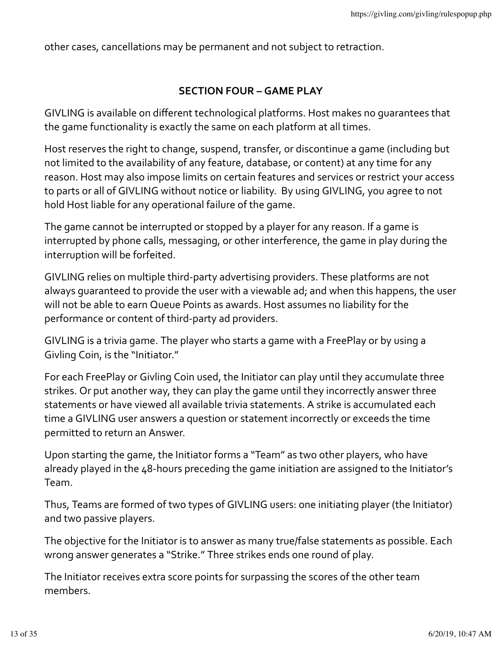other cases, cancellations may be permanent and not subject to retraction.

#### **SECTION FOUR – GAME PLAY**

GIVLING is available on different technological platforms. Host makes no quarantees that the game functionality is exactly the same on each platform at all times.

Host reserves the right to change, suspend, transfer, or discontinue a game (including but not limited to the availability of any feature, database, or content) at any time for any reason. Host may also impose limits on certain features and services or restrict your access to parts or all of GIVLING without notice or liability. By using GIVLING, you agree to not hold Host liable for any operational failure of the game.

The game cannot be interrupted or stopped by a player for any reason. If a game is interrupted by phone calls, messaging, or other interference, the game in play during the interruption will be forfeited.

GIVLING relies on multiple third-party advertising providers. These platforms are not always quaranteed to provide the user with a viewable ad; and when this happens, the user will not be able to earn Queue Points as awards. Host assumes no liability for the performance or content of third-party ad providers.

GIVLING is a trivia game. The player who starts a game with a FreePlay or by using a Givling Coin, is the "Initiator."

For each FreePlay or Givling Coin used, the Initiator can play until they accumulate three strikes. Or put another way, they can play the game until they incorrectly answer three statements or have viewed all available trivia statements. A strike is accumulated each time a GIVLING user answers a question or statement incorrectly or exceeds the time permitted to return an Answer.

Upon starting the game, the Initiator forms a "Team" as two other players, who have already played in the 48-hours preceding the game initiation are assigned to the Initiator's Team.

Thus, Teams are formed of two types of GIVLING users: one initiating player (the Initiator) and two passive players.

The objective for the Initiator is to answer as many true/false statements as possible. Each wrong answer generates a "Strike." Three strikes ends one round of play.

The Initiator receives extra score points for surpassing the scores of the other team members.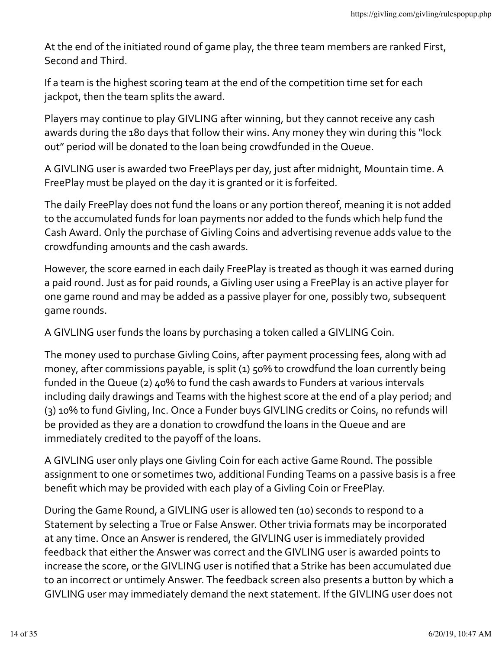At the end of the initiated round of game play, the three team members are ranked First, Second and Third.

If a team is the highest scoring team at the end of the competition time set for each jackpot, then the team splits the award.

Players may continue to play GIVLING after winning, but they cannot receive any cash awards during the 180 days that follow their wins. Any money they win during this "lock out" period will be donated to the loan being crowdfunded in the Queue.

A GIVLING user is awarded two FreePlays per day, just after midnight, Mountain time. A FreePlay must be played on the day it is granted or it is forfeited.

The daily FreePlay does not fund the loans or any portion thereof, meaning it is not added to the accumulated funds for loan payments nor added to the funds which help fund the Cash Award. Only the purchase of Givling Coins and advertising revenue adds value to the crowdfunding amounts and the cash awards.

However, the score earned in each daily FreePlay is treated as though it was earned during a paid round. Just as for paid rounds, a Givling user using a FreePlay is an active player for one game round and may be added as a passive player for one, possibly two, subsequent game rounds.

A GIVLING user funds the loans by purchasing a token called a GIVLING Coin.

The money used to purchase Givling Coins, after payment processing fees, along with ad money, after commissions payable, is split  $(1)$  50% to crowdfund the loan currently being funded in the Queue (2) 40% to fund the cash awards to Funders at various intervals including daily drawings and Teams with the highest score at the end of a play period; and (3) 10% to fund Givling, Inc. Once a Funder buys GIVLING credits or Coins, no refunds will be provided as they are a donation to crowdfund the loans in the Queue and are immediately credited to the payoff of the loans.

A GIVLING user only plays one Givling Coin for each active Game Round. The possible assignment to one or sometimes two, additional Funding Teams on a passive basis is a free benefit which may be provided with each play of a Givling Coin or FreePlay.

During the Game Round, a GIVLING user is allowed ten (10) seconds to respond to a Statement by selecting a True or False Answer. Other trivia formats may be incorporated at any time. Once an Answer is rendered, the GIVLING user is immediately provided feedback that either the Answer was correct and the GIVLING user is awarded points to increase the score, or the GIVLING user is notified that a Strike has been accumulated due to an incorrect or untimely Answer. The feedback screen also presents a button by which a GIVLING user may immediately demand the next statement. If the GIVLING user does not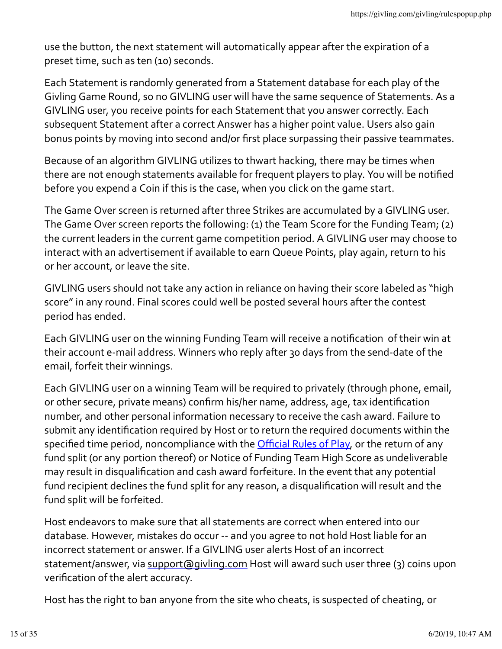use the button, the next statement will automatically appear after the expiration of a preset time, such as ten (10) seconds.

Each Statement is randomly generated from a Statement database for each play of the Givling Game Round, so no GIVLING user will have the same sequence of Statements. As a GIVLING user, you receive points for each Statement that you answer correctly. Each subsequent Statement after a correct Answer has a higher point value. Users also gain bonus points by moving into second and/or first place surpassing their passive teammates.

Because of an algorithm GIVLING utilizes to thwart hacking, there may be times when there are not enough statements available for frequent players to play. You will be notified before you expend a Coin if this is the case, when you click on the game start.

The Game Over screen is returned after three Strikes are accumulated by a GIVLING user. The Game Over screen reports the following: (1) the Team Score for the Funding Team; (2) the current leaders in the current game competition period. A GIVLING user may choose to interact with an advertisement if available to earn Queue Points, play again, return to his or her account, or leave the site.

GIVLING users should not take any action in reliance on having their score labeled as "high score" in any round. Final scores could well be posted several hours after the contest period has ended.

Each GIVLING user on the winning Funding Team will receive a notification of their win at their account e-mail address. Winners who reply after 30 days from the send-date of the email, forfeit their winnings.

Each GIVLING user on a winning Team will be required to privately (through phone, email, or other secure, private means) confirm his/her name, address, age, tax identification number, and other personal information necessary to receive the cash award. Failure to submit any identification required by Host or to return the required documents within the specified time period, noncompliance with the **Official Rules of Play**, or the return of any fund split (or any portion thereof) or Notice of Funding Team High Score as undeliverable may result in disqualification and cash award forfeiture. In the event that any potential fund recipient declines the fund split for any reason, a disqualification will result and the fund split will be forfeited.

Host endeavors to make sure that all statements are correct when entered into our database. However, mistakes do occur -- and you agree to not hold Host liable for an incorrect statement or answer. If a GIVLING user alerts Host of an incorrect statement/answer, via support@givling.com Host will award such user three (3) coins upon verification of the alert accuracy.

Host has the right to ban anyone from the site who cheats, is suspected of cheating, or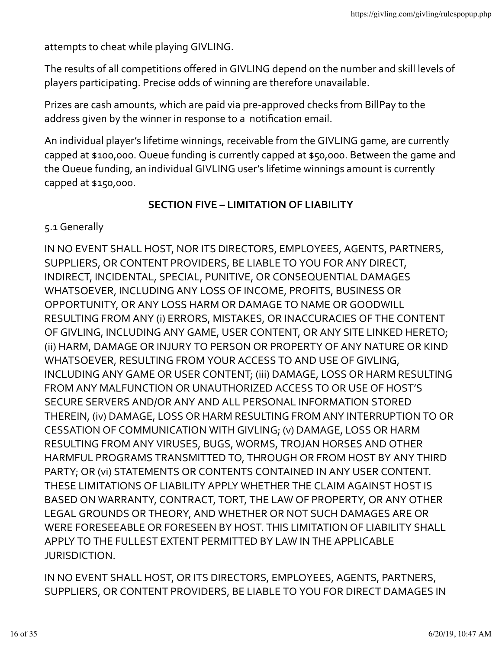attempts to cheat while playing GIVLING.

The results of all competitions offered in GIVLING depend on the number and skill levels of players participating. Precise odds of winning are therefore unavailable.

Prizes are cash amounts, which are paid via pre-approved checks from BillPay to the address given by the winner in response to a notification email.

An individual player's lifetime winnings, receivable from the GIVLING game, are currently capped at \$100,000. Queue funding is currently capped at \$50,000. Between the game and the Queue funding, an individual GIVLING user's lifetime winnings amount is currently capped at \$150,000.

## **SECTION FIVE – LIMITATION OF LIABILITY**

5.1 Generally

IN NO EVENT SHALL HOST, NOR ITS DIRECTORS, EMPLOYEES, AGENTS, PARTNERS, SUPPLIERS, OR CONTENT PROVIDERS, BE LIABLE TO YOU FOR ANY DIRECT, INDIRECT, INCIDENTAL, SPECIAL, PUNITIVE, OR CONSEQUENTIAL DAMAGES WHATSOEVER, INCLUDING ANY LOSS OF INCOME, PROFITS, BUSINESS OR OPPORTUNITY, OR ANY LOSS HARM OR DAMAGE TO NAME OR GOODWILL RESULTING FROM ANY (i) ERRORS, MISTAKES, OR INACCURACIES OF THE CONTENT OF GIVLING, INCLUDING ANY GAME, USER CONTENT, OR ANY SITE LINKED HERETO; (ii) HARM, DAMAGE OR INJURY TO PERSON OR PROPERTY OF ANY NATURE OR KIND WHATSOEVER, RESULTING FROM YOUR ACCESS TO AND USE OF GIVLING, INCLUDING ANY GAME OR USER CONTENT; (iii) DAMAGE, LOSS OR HARM RESULTING FROM ANY MALFUNCTION OR UNAUTHORIZED ACCESS TO OR USE OF HOST'S SECURE SERVERS AND/OR ANY AND ALL PERSONAL INFORMATION STORED THEREIN, (iv) DAMAGE, LOSS OR HARM RESULTING FROM ANY INTERRUPTION TO OR CESSATION OF COMMUNICATION WITH GIVLING; (v) DAMAGE, LOSS OR HARM RESULTING FROM ANY VIRUSES, BUGS, WORMS, TROJAN HORSES AND OTHER HARMFUL PROGRAMS TRANSMITTED TO, THROUGH OR FROM HOST BY ANY THIRD PARTY; OR (vi) STATEMENTS OR CONTENTS CONTAINED IN ANY USER CONTENT. THESE LIMITATIONS OF LIABILITY APPLY WHETHER THE CLAIM AGAINST HOST IS BASED ON WARRANTY, CONTRACT, TORT, THE LAW OF PROPERTY, OR ANY OTHER LEGAL GROUNDS OR THEORY, AND WHETHER OR NOT SUCH DAMAGES ARE OR WERE FORESEEABLE OR FORESEEN BY HOST. THIS LIMITATION OF LIABILITY SHALL APPLY TO THE FULLEST EXTENT PERMITTED BY LAW IN THE APPLICABLE JURISDICTION.

IN NO EVENT SHALL HOST, OR ITS DIRECTORS, EMPLOYEES, AGENTS, PARTNERS, SUPPLIERS, OR CONTENT PROVIDERS, BE LIABLE TO YOU FOR DIRECT DAMAGES IN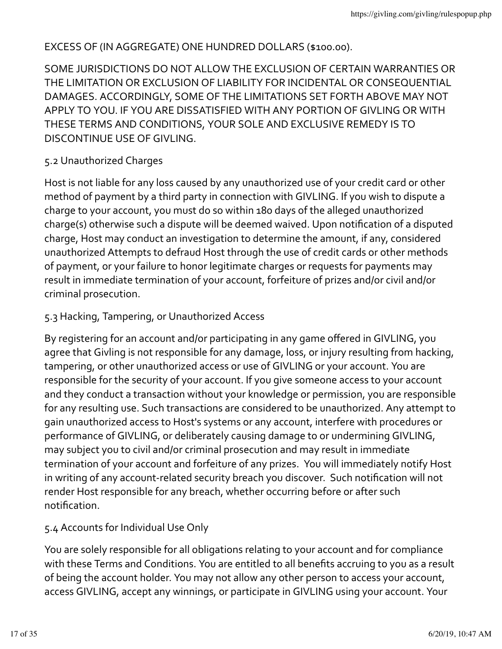### EXCESS OF (IN AGGREGATE) ONE HUNDRED DOLLARS (\$100.00).

SOME JURISDICTIONS DO NOT ALLOW THE EXCLUSION OF CERTAIN WARRANTIES OR THE LIMITATION OR EXCLUSION OF LIABILITY FOR INCIDENTAL OR CONSEQUENTIAL DAMAGES. ACCORDINGLY, SOME OF THE LIMITATIONS SET FORTH ABOVE MAY NOT APPLY TO YOU. IF YOU ARE DISSATISFIED WITH ANY PORTION OF GIVLING OR WITH THESE TERMS AND CONDITIONS, YOUR SOLE AND EXCLUSIVE REMEDY IS TO DISCONTINUE USE OF GIVLING.

## 5.2 Unauthorized Charges

Host is not liable for any loss caused by any unauthorized use of your credit card or other method of payment by a third party in connection with GIVLING. If you wish to dispute a charge to your account, you must do so within 180 days of the alleged unauthorized charge(s) otherwise such a dispute will be deemed waived. Upon notification of a disputed charge, Host may conduct an investigation to determine the amount, if any, considered unauthorized Attempts to defraud Host through the use of credit cards or other methods of payment, or your failure to honor legitimate charges or requests for payments may result in immediate termination of your account, forfeiture of prizes and/or civil and/or criminal prosecution.

## 5.3 Hacking, Tampering, or Unauthorized Access

By registering for an account and/or participating in any game offered in GIVLING, you agree that Givling is not responsible for any damage, loss, or injury resulting from hacking, tampering, or other unauthorized access or use of GIVLING or your account. You are responsible for the security of your account. If you give someone access to your account and they conduct a transaction without your knowledge or permission, you are responsible for any resulting use. Such transactions are considered to be unauthorized. Any attempt to gain unauthorized access to Host's systems or any account, interfere with procedures or performance of GIVLING, or deliberately causing damage to or undermining GIVLING, may subject you to civil and/or criminal prosecution and may result in immediate termination of your account and forfeiture of any prizes. You will immediately notify Host in writing of any account-related security breach you discover. Such notification will not render Host responsible for any breach, whether occurring before or after such notification. 

### 5.4 Accounts for Individual Use Only

You are solely responsible for all obligations relating to your account and for compliance with these Terms and Conditions. You are entitled to all benefits accruing to you as a result of being the account holder. You may not allow any other person to access your account, access GIVLING, accept any winnings, or participate in GIVLING using your account. Your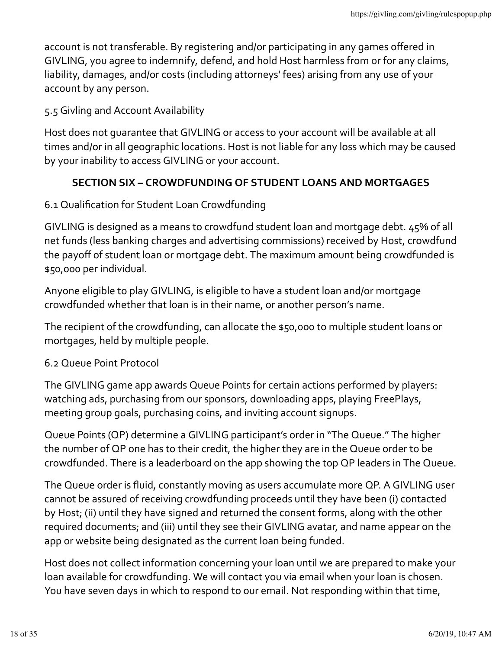account is not transferable. By registering and/or participating in any games offered in GIVLING, you agree to indemnify, defend, and hold Host harmless from or for any claims, liability, damages, and/or costs (including attorneys' fees) arising from any use of your account by any person.

5.5 Givling and Account Availability

Host does not quarantee that GIVLING or access to your account will be available at all times and/or in all geographic locations. Host is not liable for any loss which may be caused by your inability to access GIVLING or your account.

# **SECTION SIX – CROWDFUNDING OF STUDENT LOANS AND MORTGAGES**

## 6.1 Qualification for Student Loan Crowdfunding

GIVLING is designed as a means to crowdfund student loan and mortgage debt.  $45\%$  of all net funds (less banking charges and advertising commissions) received by Host, crowdfund the payoff of student loan or mortgage debt. The maximum amount being crowdfunded is \$50,000 per individual.

Anyone eligible to play GIVLING, is eligible to have a student loan and/or mortgage crowdfunded whether that loan is in their name, or another person's name.

The recipient of the crowdfunding, can allocate the \$50,000 to multiple student loans or mortgages, held by multiple people.

6.2 Queue Point Protocol

The GIVLING game app awards Queue Points for certain actions performed by players: watching ads, purchasing from our sponsors, downloading apps, playing FreePlays, meeting group goals, purchasing coins, and inviting account signups.

Queue Points (QP) determine a GIVLING participant's order in "The Queue." The higher the number of QP one has to their credit, the higher they are in the Queue order to be crowdfunded. There is a leaderboard on the app showing the top QP leaders in The Queue.

The Queue order is fluid, constantly moving as users accumulate more QP. A GIVLING user cannot be assured of receiving crowdfunding proceeds until they have been (i) contacted by Host; (ii) until they have signed and returned the consent forms, along with the other required documents; and (iii) until they see their GIVLING avatar, and name appear on the app or website being designated as the current loan being funded.

Host does not collect information concerning your loan until we are prepared to make your loan available for crowdfunding. We will contact you via email when your loan is chosen. You have seven days in which to respond to our email. Not responding within that time,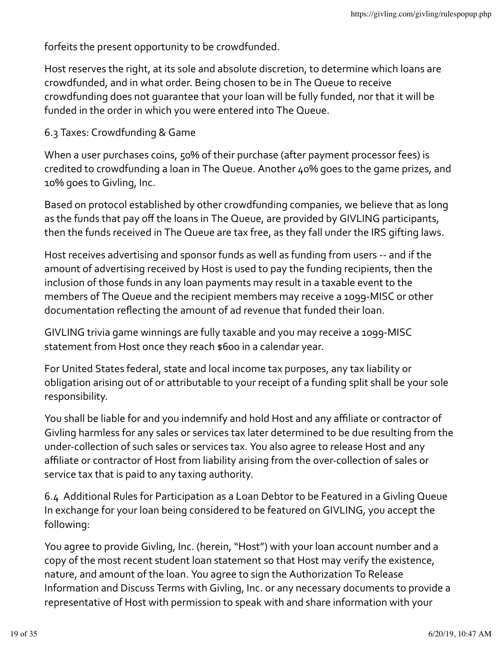forfeits the present opportunity to be crowdfunded.

Host reserves the right, at its sole and absolute discretion, to determine which loans are crowdfunded, and in what order. Being chosen to be in The Queue to receive crowdfunding does not quarantee that your loan will be fully funded, nor that it will be funded in the order in which you were entered into The Queue.

## 6.3 Taxes: Crowdfunding & Game

When a user purchases coins, 50% of their purchase (after payment processor fees) is credited to crowdfunding a loan in The Queue. Another 40% goes to the game prizes, and 10% goes to Givling, Inc.

Based on protocol established by other crowdfunding companies, we believe that as long as the funds that pay off the loans in The Queue, are provided by GIVLING participants, then the funds received in The Queue are tax free, as they fall under the IRS gifting laws.

Host receives advertising and sponsor funds as well as funding from users -- and if the amount of advertising received by Host is used to pay the funding recipients, then the inclusion of those funds in any loan payments may result in a taxable event to the members of The Queue and the recipient members may receive a 1099-MISC or other documentation reflecting the amount of ad revenue that funded their loan.

GIVLING trivia game winnings are fully taxable and you may receive a 1099-MISC statement from Host once they reach \$600 in a calendar year.

For United States federal, state and local income tax purposes, any tax liability or obligation arising out of or attributable to your receipt of a funding split shall be your sole responsibility.

You shall be liable for and you indemnify and hold Host and any affiliate or contractor of Givling harmless for any sales or services tax later determined to be due resulting from the under-collection of such sales or services tax. You also agree to release Host and any affiliate or contractor of Host from liability arising from the over-collection of sales or service tax that is paid to any taxing authority.

6.4 Additional Rules for Participation as a Loan Debtor to be Featured in a Givling Queue In exchange for your loan being considered to be featured on GIVLING, you accept the following:

You agree to provide Givling, Inc. (herein, "Host") with your loan account number and a copy of the most recent student loan statement so that Host may verify the existence, nature, and amount of the loan. You agree to sign the Authorization To Release Information and Discuss Terms with Givling, Inc. or any necessary documents to provide a representative of Host with permission to speak with and share information with your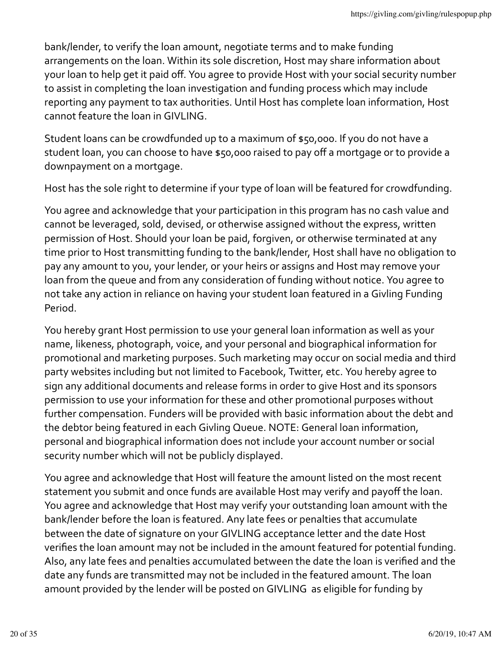bank/lender, to verify the loan amount, negotiate terms and to make funding arrangements on the loan. Within its sole discretion, Host may share information about your loan to help get it paid off. You agree to provide Host with your social security number to assist in completing the loan investigation and funding process which may include reporting any payment to tax authorities. Until Host has complete loan information, Host cannot feature the loan in GIVLING.

Student loans can be crowdfunded up to a maximum of \$50,000. If you do not have a student loan, you can choose to have \$50,000 raised to pay off a mortgage or to provide a downpayment on a mortgage.

Host has the sole right to determine if your type of loan will be featured for crowdfunding.

You agree and acknowledge that your participation in this program has no cash value and cannot be leveraged, sold, devised, or otherwise assigned without the express, written permission of Host. Should your loan be paid, forgiven, or otherwise terminated at any time prior to Host transmitting funding to the bank/lender, Host shall have no obligation to pay any amount to you, your lender, or your heirs or assigns and Host may remove your loan from the queue and from any consideration of funding without notice. You agree to not take any action in reliance on having your student loan featured in a Givling Funding Period.

You hereby grant Host permission to use your general loan information as well as your name, likeness, photograph, voice, and your personal and biographical information for promotional and marketing purposes. Such marketing may occur on social media and third party websites including but not limited to Facebook, Twitter, etc. You hereby agree to sign any additional documents and release forms in order to give Host and its sponsors permission to use your information for these and other promotional purposes without further compensation. Funders will be provided with basic information about the debt and the debtor being featured in each Givling Queue. NOTE: General loan information, personal and biographical information does not include your account number or social security number which will not be publicly displayed.

You agree and acknowledge that Host will feature the amount listed on the most recent statement you submit and once funds are available Host may verify and payoff the loan. You agree and acknowledge that Host may verify your outstanding loan amount with the bank/lender before the loan is featured. Any late fees or penalties that accumulate between the date of signature on your GIVLING acceptance letter and the date Host verifies the loan amount may not be included in the amount featured for potential funding. Also, any late fees and penalties accumulated between the date the loan is verified and the date any funds are transmitted may not be included in the featured amount. The loan amount provided by the lender will be posted on GIVLING as eligible for funding by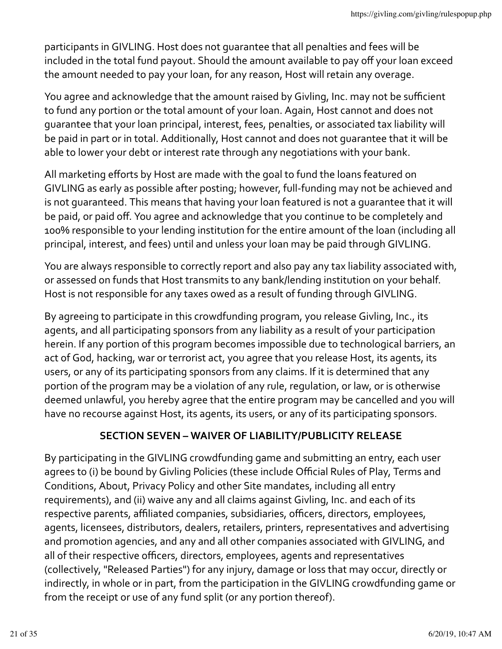participants in GIVLING. Host does not quarantee that all penalties and fees will be included in the total fund payout. Should the amount available to pay off your loan exceed the amount needed to pay your loan, for any reason, Host will retain any overage.

You agree and acknowledge that the amount raised by Givling, Inc. may not be sufficient to fund any portion or the total amount of your loan. Again, Host cannot and does not guarantee that your loan principal, interest, fees, penalties, or associated tax liability will be paid in part or in total. Additionally, Host cannot and does not quarantee that it will be able to lower your debt or interest rate through any negotiations with your bank.

All marketing efforts by Host are made with the goal to fund the loans featured on GIVLING as early as possible after posting; however, full-funding may not be achieved and is not quaranteed. This means that having your loan featured is not a quarantee that it will be paid, or paid off. You agree and acknowledge that you continue to be completely and 100% responsible to your lending institution for the entire amount of the loan (including all principal, interest, and fees) until and unless your loan may be paid through GIVLING.

You are always responsible to correctly report and also pay any tax liability associated with, or assessed on funds that Host transmits to any bank/lending institution on your behalf. Host is not responsible for any taxes owed as a result of funding through GIVLING.

By agreeing to participate in this crowdfunding program, you release Givling, Inc., its agents, and all participating sponsors from any liability as a result of your participation herein. If any portion of this program becomes impossible due to technological barriers, an act of God, hacking, war or terrorist act, you agree that you release Host, its agents, its users, or any of its participating sponsors from any claims. If it is determined that any portion of the program may be a violation of any rule, regulation, or law, or is otherwise deemed unlawful, you hereby agree that the entire program may be cancelled and you will have no recourse against Host, its agents, its users, or any of its participating sponsors.

# **SECTION SEVEN – WAIVER OF LIABILITY/PUBLICITY RELEASE**

By participating in the GIVLING crowdfunding game and submitting an entry, each user agrees to (i) be bound by Givling Policies (these include Official Rules of Play, Terms and Conditions, About, Privacy Policy and other Site mandates, including all entry requirements), and (ii) waive any and all claims against Givling, Inc. and each of its respective parents, affiliated companies, subsidiaries, officers, directors, employees, agents, licensees, distributors, dealers, retailers, printers, representatives and advertising and promotion agencies, and any and all other companies associated with GIVLING, and all of their respective officers, directors, employees, agents and representatives (collectively, "Released Parties") for any injury, damage or loss that may occur, directly or indirectly, in whole or in part, from the participation in the GIVLING crowdfunding game or from the receipt or use of any fund split (or any portion thereof).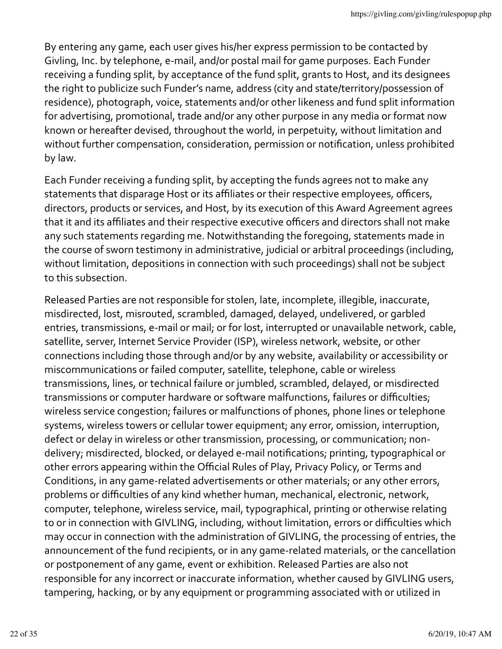By entering any game, each user gives his/her express permission to be contacted by Givling, Inc. by telephone, e-mail, and/or postal mail for game purposes. Each Funder receiving a funding split, by acceptance of the fund split, grants to Host, and its designees the right to publicize such Funder's name, address (city and state/territory/possession of residence), photograph, voice, statements and/or other likeness and fund split information for advertising, promotional, trade and/or any other purpose in any media or format now known or hereafter devised, throughout the world, in perpetuity, without limitation and without further compensation, consideration, permission or notification, unless prohibited by law.

Each Funder receiving a funding split, by accepting the funds agrees not to make any statements that disparage Host or its affiliates or their respective employees, officers, directors, products or services, and Host, by its execution of this Award Agreement agrees that it and its affiliates and their respective executive officers and directors shall not make any such statements regarding me. Notwithstanding the foregoing, statements made in the course of sworn testimony in administrative, judicial or arbitral proceedings (including, without limitation, depositions in connection with such proceedings) shall not be subject to this subsection.

Released Parties are not responsible for stolen, late, incomplete, illegible, inaccurate, misdirected, lost, misrouted, scrambled, damaged, delayed, undelivered, or garbled entries, transmissions, e-mail or mail; or for lost, interrupted or unavailable network, cable, satellite, server, Internet Service Provider (ISP), wireless network, website, or other connections including those through and/or by any website, availability or accessibility or miscommunications or failed computer, satellite, telephone, cable or wireless transmissions, lines, or technical failure or jumbled, scrambled, delayed, or misdirected transmissions or computer hardware or software malfunctions, failures or difficulties; wireless service congestion; failures or malfunctions of phones, phone lines or telephone systems, wireless towers or cellular tower equipment; any error, omission, interruption, defect or delay in wireless or other transmission, processing, or communication; nondelivery; misdirected, blocked, or delayed e-mail notifications; printing, typographical or other errors appearing within the Official Rules of Play, Privacy Policy, or Terms and Conditions, in any game-related advertisements or other materials; or any other errors, problems or difficulties of any kind whether human, mechanical, electronic, network, computer, telephone, wireless service, mail, typographical, printing or otherwise relating to or in connection with GIVLING, including, without limitation, errors or difficulties which may occur in connection with the administration of GIVLING, the processing of entries, the announcement of the fund recipients, or in any game-related materials, or the cancellation or postponement of any game, event or exhibition. Released Parties are also not responsible for any incorrect or inaccurate information, whether caused by GIVLING users, tampering, hacking, or by any equipment or programming associated with or utilized in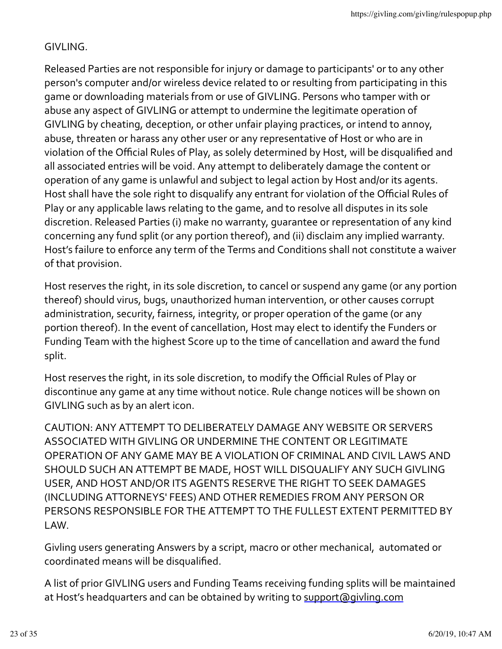# GIVLING.

Released Parties are not responsible for injury or damage to participants' or to any other person's computer and/or wireless device related to or resulting from participating in this game or downloading materials from or use of GIVLING. Persons who tamper with or abuse any aspect of GIVLING or attempt to undermine the legitimate operation of GIVLING by cheating, deception, or other unfair playing practices, or intend to annoy, abuse, threaten or harass any other user or any representative of Host or who are in violation of the Official Rules of Play, as solely determined by Host, will be disqualified and all associated entries will be void. Any attempt to deliberately damage the content or operation of any game is unlawful and subject to legal action by Host and/or its agents. Host shall have the sole right to disqualify any entrant for violation of the Official Rules of Play or any applicable laws relating to the game, and to resolve all disputes in its sole discretion. Released Parties (i) make no warranty, quarantee or representation of any kind concerning any fund split (or any portion thereof), and (ii) disclaim any implied warranty. Host's failure to enforce any term of the Terms and Conditions shall not constitute a waiver of that provision.

Host reserves the right, in its sole discretion, to cancel or suspend any game (or any portion thereof) should virus, bugs, unauthorized human intervention, or other causes corrupt administration, security, fairness, integrity, or proper operation of the game (or any portion thereof). In the event of cancellation, Host may elect to identify the Funders or Funding Team with the highest Score up to the time of cancellation and award the fund split.

Host reserves the right, in its sole discretion, to modify the Official Rules of Play or discontinue any game at any time without notice. Rule change notices will be shown on GIVLING such as by an alert icon.

CAUTION: ANY ATTEMPT TO DELIBERATELY DAMAGE ANY WEBSITE OR SERVERS ASSOCIATED WITH GIVLING OR UNDERMINE THE CONTENT OR LEGITIMATE OPERATION OF ANY GAME MAY BE A VIOLATION OF CRIMINAL AND CIVIL LAWS AND SHOULD SUCH AN ATTEMPT BE MADE, HOST WILL DISQUALIFY ANY SUCH GIVLING USER, AND HOST AND/OR ITS AGENTS RESERVE THE RIGHT TO SEEK DAMAGES (INCLUDING ATTORNEYS' FEES) AND OTHER REMEDIES FROM ANY PERSON OR PERSONS RESPONSIBLE FOR THE ATTEMPT TO THE FULLEST EXTENT PERMITTED BY LAW.

Givling users generating Answers by a script, macro or other mechanical, automated or coordinated means will be disqualified.

A list of prior GIVLING users and Funding Teams receiving funding splits will be maintained at Host's headquarters and can be obtained by writing to support@givling.com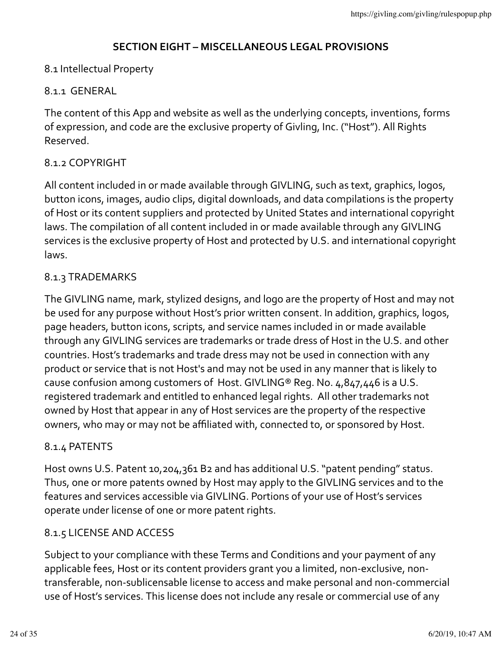## **SECTION EIGHT – MISCELLANEOUS LEGAL PROVISIONS**

# 8.1 Intellectual Property

## 8.1.1 GENERAL

The content of this App and website as well as the underlying concepts, inventions, forms of expression, and code are the exclusive property of Givling, Inc. ("Host"). All Rights Reserved.

## 8.1.2 COPYRIGHT

All content included in or made available through GIVLING, such as text, graphics, logos, button icons, images, audio clips, digital downloads, and data compilations is the property of Host or its content suppliers and protected by United States and international copyright laws. The compilation of all content included in or made available through any GIVLING services is the exclusive property of Host and protected by U.S. and international copyright laws. 

## 8.1.3 TRADEMARKS

The GIVLING name, mark, stylized designs, and logo are the property of Host and may not be used for any purpose without Host's prior written consent. In addition, graphics, logos, page headers, button icons, scripts, and service names included in or made available through any GIVLING services are trademarks or trade dress of Host in the U.S. and other countries. Host's trademarks and trade dress may not be used in connection with any product or service that is not Host's and may not be used in any manner that is likely to cause confusion among customers of Host. GIVLING® Reg. No.  $4,847,446$  is a U.S. registered trademark and entitled to enhanced legal rights. All other trademarks not owned by Host that appear in any of Host services are the property of the respective owners, who may or may not be affiliated with, connected to, or sponsored by Host.

### 8.1.4 PATENTS

Host owns U.S. Patent 10,204,361 B2 and has additional U.S. "patent pending" status. Thus, one or more patents owned by Host may apply to the GIVLING services and to the features and services accessible via GIVLING. Portions of your use of Host's services operate under license of one or more patent rights.

### 8.1.5 LICENSE AND ACCESS

Subject to your compliance with these Terms and Conditions and your payment of any applicable fees, Host or its content providers grant you a limited, non-exclusive, nontransferable, non-sublicensable license to access and make personal and non-commercial use of Host's services. This license does not include any resale or commercial use of any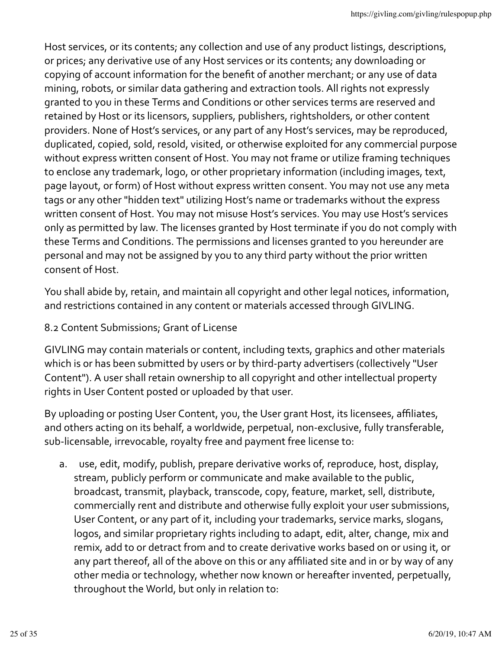Host services, or its contents; any collection and use of any product listings, descriptions, or prices; any derivative use of any Host services or its contents; any downloading or copying of account information for the benefit of another merchant; or any use of data mining, robots, or similar data gathering and extraction tools. All rights not expressly granted to you in these Terms and Conditions or other services terms are reserved and retained by Host or its licensors, suppliers, publishers, rightsholders, or other content providers. None of Host's services, or any part of any Host's services, may be reproduced, duplicated, copied, sold, resold, visited, or otherwise exploited for any commercial purpose without express written consent of Host. You may not frame or utilize framing techniques to enclose any trademark, logo, or other proprietary information (including images, text, page layout, or form) of Host without express written consent. You may not use any meta tags or any other "hidden text" utilizing Host's name or trademarks without the express written consent of Host. You may not misuse Host's services. You may use Host's services only as permitted by law. The licenses granted by Host terminate if you do not comply with these Terms and Conditions. The permissions and licenses granted to you hereunder are personal and may not be assigned by you to any third party without the prior written consent of Host.

You shall abide by, retain, and maintain all copyright and other legal notices, information, and restrictions contained in any content or materials accessed through GIVLING.

# 8.2 Content Submissions; Grant of License

GIVLING may contain materials or content, including texts, graphics and other materials which is or has been submitted by users or by third-party advertisers (collectively "User Content"). A user shall retain ownership to all copyright and other intellectual property rights in User Content posted or uploaded by that user.

By uploading or posting User Content, you, the User grant Host, its licensees, affiliates, and others acting on its behalf, a worldwide, perpetual, non-exclusive, fully transferable, sub-licensable, irrevocable, royalty free and payment free license to:

a. use, edit, modify, publish, prepare derivative works of, reproduce, host, display, stream, publicly perform or communicate and make available to the public, broadcast, transmit, playback, transcode, copy, feature, market, sell, distribute, commercially rent and distribute and otherwise fully exploit your user submissions, User Content, or any part of it, including your trademarks, service marks, slogans, logos, and similar proprietary rights including to adapt, edit, alter, change, mix and remix, add to or detract from and to create derivative works based on or using it, or any part thereof, all of the above on this or any affiliated site and in or by way of any other media or technology, whether now known or hereafter invented, perpetually, throughout the World, but only in relation to: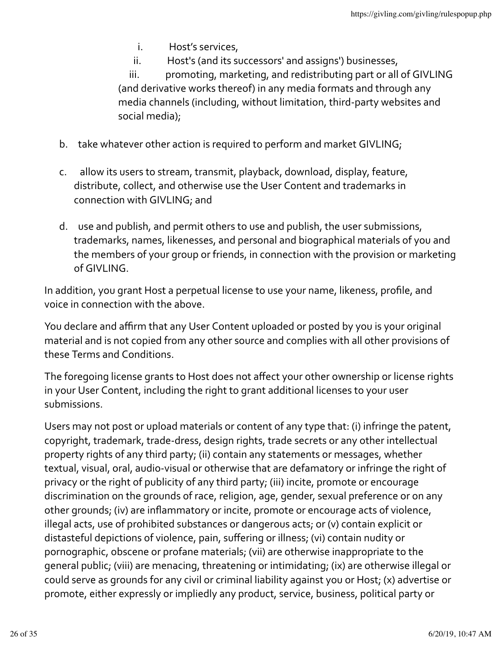- i. Host's services,
- ii. Host's (and its successors' and assigns') businesses,

iii. promoting, marketing, and redistributing part or all of GIVLING (and derivative works thereof) in any media formats and through any media channels (including, without limitation, third-party websites and social media);

- b. take whatever other action is required to perform and market GIVLING;
- c. allow its users to stream, transmit, playback, download, display, feature, distribute, collect, and otherwise use the User Content and trademarks in connection with GIVLING; and
- d. use and publish, and permit others to use and publish, the user submissions, trademarks, names, likenesses, and personal and biographical materials of you and the members of your group or friends, in connection with the provision or marketing of GIVLING.

In addition, you grant Host a perpetual license to use your name, likeness, profile, and voice in connection with the above.

You declare and affirm that any User Content uploaded or posted by you is your original material and is not copied from any other source and complies with all other provisions of these Terms and Conditions.

The foregoing license grants to Host does not affect your other ownership or license rights in your User Content, including the right to grant additional licenses to your user submissions.

Users may not post or upload materials or content of any type that: (i) infringe the patent, copyright, trademark, trade-dress, design rights, trade secrets or any other intellectual property rights of any third party; (ii) contain any statements or messages, whether textual, visual, oral, audio-visual or otherwise that are defamatory or infringe the right of privacy or the right of publicity of any third party; (iii) incite, promote or encourage discrimination on the grounds of race, religion, age, gender, sexual preference or on any other grounds; (iv) are inflammatory or incite, promote or encourage acts of violence, illegal acts, use of prohibited substances or dangerous acts; or (v) contain explicit or distasteful depictions of violence, pain, suffering or illness; (vi) contain nudity or pornographic, obscene or profane materials; (vii) are otherwise inappropriate to the general public; (viii) are menacing, threatening or intimidating; (ix) are otherwise illegal or could serve as grounds for any civil or criminal liability against you or Host; (x) advertise or promote, either expressly or impliedly any product, service, business, political party or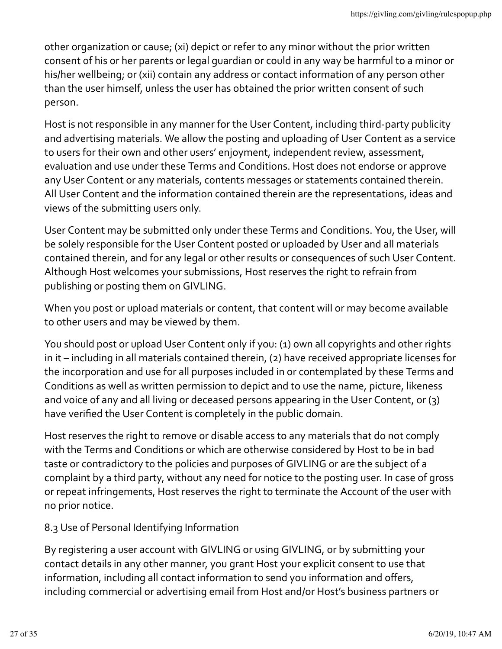other organization or cause; (xi) depict or refer to any minor without the prior written consent of his or her parents or legal quardian or could in any way be harmful to a minor or his/her wellbeing; or (xii) contain any address or contact information of any person other than the user himself, unless the user has obtained the prior written consent of such person.

Host is not responsible in any manner for the User Content, including third-party publicity and advertising materials. We allow the posting and uploading of User Content as a service to users for their own and other users' enjoyment, independent review, assessment, evaluation and use under these Terms and Conditions. Host does not endorse or approve any User Content or any materials, contents messages or statements contained therein. All User Content and the information contained therein are the representations, ideas and views of the submitting users only.

User Content may be submitted only under these Terms and Conditions. You, the User, will be solely responsible for the User Content posted or uploaded by User and all materials contained therein, and for any legal or other results or consequences of such User Content. Although Host welcomes your submissions, Host reserves the right to refrain from publishing or posting them on GIVLING.

When you post or upload materials or content, that content will or may become available to other users and may be viewed by them.

You should post or upload User Content only if you: (1) own all copyrights and other rights in it  $-$  including in all materials contained therein, (2) have received appropriate licenses for the incorporation and use for all purposes included in or contemplated by these Terms and Conditions as well as written permission to depict and to use the name, picture, likeness and voice of any and all living or deceased persons appearing in the User Content, or  $(3)$ have verified the User Content is completely in the public domain.

Host reserves the right to remove or disable access to any materials that do not comply with the Terms and Conditions or which are otherwise considered by Host to be in bad taste or contradictory to the policies and purposes of GIVLING or are the subject of a complaint by a third party, without any need for notice to the posting user. In case of gross or repeat infringements, Host reserves the right to terminate the Account of the user with no prior notice.

# 8.3 Use of Personal Identifying Information

By registering a user account with GIVLING or using GIVLING, or by submitting your contact details in any other manner, you grant Host your explicit consent to use that information, including all contact information to send you information and offers, including commercial or advertising email from Host and/or Host's business partners or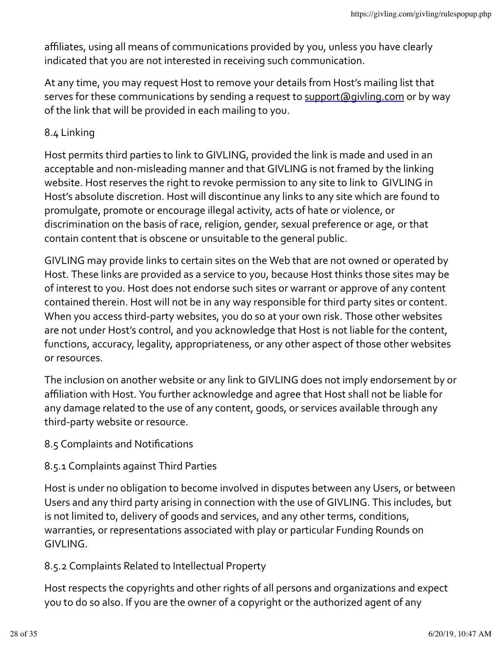affiliates, using all means of communications provided by you, unless you have clearly indicated that you are not interested in receiving such communication.

At any time, you may request Host to remove your details from Host's mailing list that serves for these communications by sending a request to support@givling.com or by way of the link that will be provided in each mailing to you.

## 8.4 Linking

Host permits third parties to link to GIVLING, provided the link is made and used in an acceptable and non-misleading manner and that GIVLING is not framed by the linking website. Host reserves the right to revoke permission to any site to link to GIVLING in Host's absolute discretion. Host will discontinue any links to any site which are found to promulgate, promote or encourage illegal activity, acts of hate or violence, or discrimination on the basis of race, religion, gender, sexual preference or age, or that contain content that is obscene or unsuitable to the general public.

GIVLING may provide links to certain sites on the Web that are not owned or operated by Host. These links are provided as a service to you, because Host thinks those sites may be of interest to you. Host does not endorse such sites or warrant or approve of any content contained therein. Host will not be in any way responsible for third party sites or content. When you access third-party websites, you do so at your own risk. Those other websites are not under Host's control, and you acknowledge that Host is not liable for the content, functions, accuracy, legality, appropriateness, or any other aspect of those other websites or resources.

The inclusion on another website or any link to GIVLING does not imply endorsement by or affiliation with Host. You further acknowledge and agree that Host shall not be liable for any damage related to the use of any content, goods, or services available through any third-party website or resource.

### 8.5 Complaints and Notifications

# 8.5.1 Complaints against Third Parties

Host is under no obligation to become involved in disputes between any Users, or between Users and any third party arising in connection with the use of GIVLING. This includes, but is not limited to, delivery of goods and services, and any other terms, conditions, warranties, or representations associated with play or particular Funding Rounds on GIVLING.

# 8.5.2 Complaints Related to Intellectual Property

Host respects the copyrights and other rights of all persons and organizations and expect you to do so also. If you are the owner of a copyright or the authorized agent of any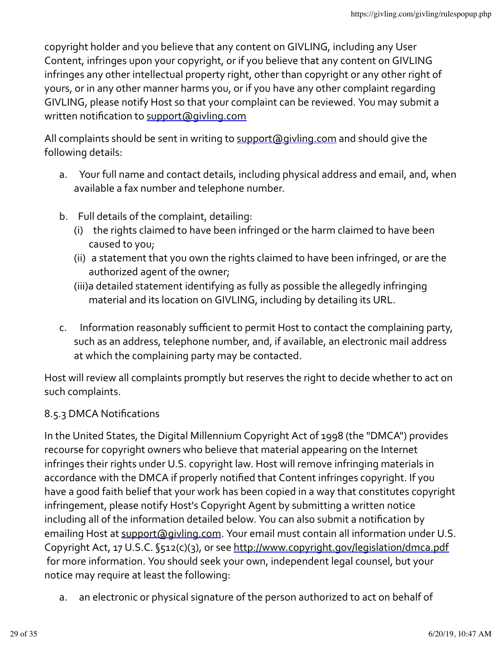copyright holder and you believe that any content on GIVLING, including any User Content, infringes upon your copyright, or if you believe that any content on GIVLING infringes any other intellectual property right, other than copyright or any other right of yours, or in any other manner harms you, or if you have any other complaint regarding GIVLING, please notify Host so that your complaint can be reviewed. You may submit a written notification to support@givling.com

All complaints should be sent in writing to support@givling.com and should give the following details:

- a. Your full name and contact details, including physical address and email, and, when available a fax number and telephone number.
- b. Full details of the complaint, detailing:
	- (i) the rights claimed to have been infringed or the harm claimed to have been caused to you;
	- (ii) a statement that you own the rights claimed to have been infringed, or are the authorized agent of the owner;
	- (iii)a detailed statement identifying as fully as possible the allegedly infringing material and its location on GIVLING, including by detailing its URL.
- c. Information reasonably sufficient to permit Host to contact the complaining party, such as an address, telephone number, and, if available, an electronic mail address at which the complaining party may be contacted.

Host will review all complaints promptly but reserves the right to decide whether to act on such complaints.

# 8.5.3 DMCA Notifications

In the United States, the Digital Millennium Copyright Act of 1998 (the "DMCA") provides recourse for copyright owners who believe that material appearing on the Internet infringes their rights under U.S. copyright law. Host will remove infringing materials in accordance with the DMCA if properly notified that Content infringes copyright. If you have a good faith belief that your work has been copied in a way that constitutes copyright infringement, please notify Host's Copyright Agent by submitting a written notice including all of the information detailed below. You can also submit a notification by emailing Host at support@givling.com. Your email must contain all information under U.S. Copyright Act, 17 U.S.C. §512(c)(3), or see http://www.copyright.gov/legislation/dmca.pdf for more information. You should seek your own, independent legal counsel, but your notice may require at least the following:

a. an electronic or physical signature of the person authorized to act on behalf of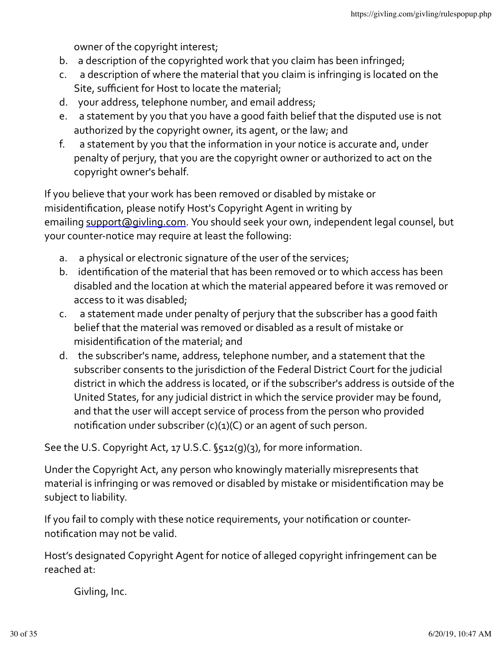owner of the copyright interest;

- b. a description of the copyrighted work that you claim has been infringed;
- c. a description of where the material that you claim is infringing is located on the Site, sufficient for Host to locate the material;
- d. your address, telephone number, and email address;
- e. a statement by you that you have a good faith belief that the disputed use is not authorized by the copyright owner, its agent, or the law; and
- f. a statement by you that the information in your notice is accurate and, under penalty of perjury, that you are the copyright owner or authorized to act on the copyright owner's behalf.

If you believe that your work has been removed or disabled by mistake or misidentification, please notify Host's Copyright Agent in writing by emailing support@givling.com. You should seek your own, independent legal counsel, but your counter-notice may require at least the following:

- a. a physical or electronic signature of the user of the services;
- b. identification of the material that has been removed or to which access has been disabled and the location at which the material appeared before it was removed or access to it was disabled;
- c. a statement made under penalty of perjury that the subscriber has a good faith belief that the material was removed or disabled as a result of mistake or misidentification of the material; and
- d. the subscriber's name, address, telephone number, and a statement that the subscriber consents to the jurisdiction of the Federal District Court for the judicial district in which the address is located, or if the subscriber's address is outside of the United States, for any judicial district in which the service provider may be found, and that the user will accept service of process from the person who provided notification under subscriber  $(c)(1)(C)$  or an agent of such person.

See the U.S. Copyright Act, 17 U.S.C. §512(g)(3), for more information.

Under the Copyright Act, any person who knowingly materially misrepresents that material is infringing or was removed or disabled by mistake or misidentification may be subject to liability.

If you fail to comply with these notice requirements, your notification or counternotification may not be valid.

Host's designated Copyright Agent for notice of alleged copyright infringement can be reached  $at$ .

Givling, Inc.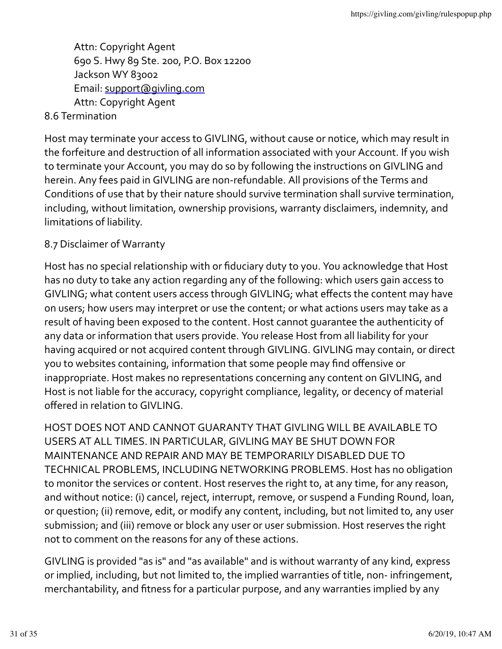Attn: Copyright Agent 690 S. Hwy 89 Ste. 200, P.O. Box 12200 Jackson WY 83002 Email: support@givling.com Attn: Copyright Agent

## 8.6 Termination

Host may terminate your access to GIVLING, without cause or notice, which may result in the forfeiture and destruction of all information associated with your Account. If you wish to terminate your Account, you may do so by following the instructions on GIVLING and herein. Any fees paid in GIVLING are non-refundable. All provisions of the Terms and Conditions of use that by their nature should survive termination shall survive termination, including, without limitation, ownership provisions, warranty disclaimers, indemnity, and limitations of liability.

### 8.7 Disclaimer of Warranty

Host has no special relationship with or fiduciary duty to you. You acknowledge that Host has no duty to take any action regarding any of the following: which users gain access to GIVLING; what content users access through GIVLING; what effects the content may have on users; how users may interpret or use the content; or what actions users may take as a result of having been exposed to the content. Host cannot quarantee the authenticity of any data or information that users provide. You release Host from all liability for your having acquired or not acquired content through GIVLING. GIVLING may contain, or direct you to websites containing, information that some people may find offensive or inappropriate. Host makes no representations concerning any content on GIVLING, and Host is not liable for the accuracy, copyright compliance, legality, or decency of material offered in relation to GIVLING.

HOST DOES NOT AND CANNOT GUARANTY THAT GIVLING WILL BE AVAILABLE TO USERS AT ALL TIMES. IN PARTICULAR, GIVLING MAY BE SHUT DOWN FOR MAINTENANCE AND REPAIR AND MAY BE TEMPORARILY DISABLED DUE TO TECHNICAL PROBLEMS, INCLUDING NETWORKING PROBLEMS. Host has no obligation to monitor the services or content. Host reserves the right to, at any time, for any reason, and without notice: (i) cancel, reject, interrupt, remove, or suspend a Funding Round, loan, or question; (ii) remove, edit, or modify any content, including, but not limited to, any user submission; and (iii) remove or block any user or user submission. Host reserves the right not to comment on the reasons for any of these actions.

GIVLING is provided "as is" and "as available" and is without warranty of any kind, express or implied, including, but not limited to, the implied warranties of title, non- infringement, merchantability, and fitness for a particular purpose, and any warranties implied by any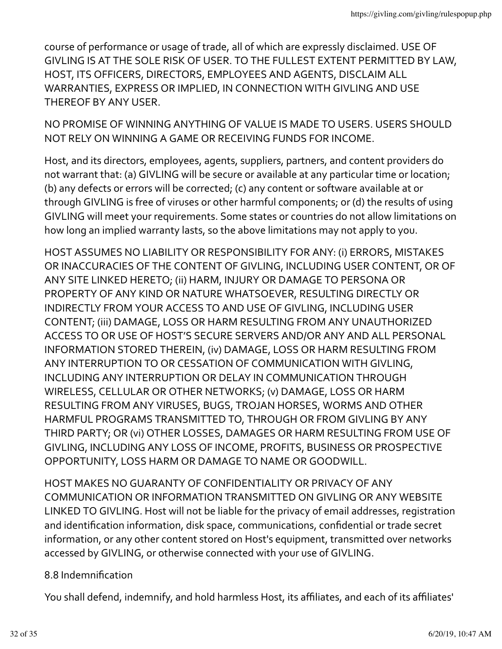course of performance or usage of trade, all of which are expressly disclaimed. USE OF GIVLING IS AT THE SOLE RISK OF USER. TO THE FULLEST EXTENT PERMITTED BY LAW, HOST, ITS OFFICERS, DIRECTORS, EMPLOYEES AND AGENTS, DISCLAIM ALL WARRANTIES, EXPRESS OR IMPLIED, IN CONNECTION WITH GIVLING AND USE THEREOF BY ANY USER.

NO PROMISE OF WINNING ANYTHING OF VALUE IS MADE TO USERS. USERS SHOULD NOT RELY ON WINNING A GAME OR RECEIVING FUNDS FOR INCOME.

Host, and its directors, employees, agents, suppliers, partners, and content providers do not warrant that: (a) GIVLING will be secure or available at any particular time or location; (b) any defects or errors will be corrected; (c) any content or software available at or through GIVLING is free of viruses or other harmful components; or (d) the results of using GIVLING will meet your requirements. Some states or countries do not allow limitations on how long an implied warranty lasts, so the above limitations may not apply to you.

HOST ASSUMES NO LIABILITY OR RESPONSIBILITY FOR ANY: (i) ERRORS, MISTAKES OR INACCURACIES OF THE CONTENT OF GIVLING, INCLUDING USER CONTENT, OR OF ANY SITE LINKED HERETO; (ii) HARM, INJURY OR DAMAGE TO PERSONA OR PROPERTY OF ANY KIND OR NATURE WHATSOEVER, RESULTING DIRECTLY OR INDIRECTLY FROM YOUR ACCESS TO AND USE OF GIVLING, INCLUDING USER CONTENT; (iii) DAMAGE, LOSS OR HARM RESULTING FROM ANY UNAUTHORIZED ACCESS TO OR USE OF HOST'S SECURE SERVERS AND/OR ANY AND ALL PERSONAL INFORMATION STORED THEREIN, (iv) DAMAGE, LOSS OR HARM RESULTING FROM ANY INTERRUPTION TO OR CESSATION OF COMMUNICATION WITH GIVLING, INCLUDING ANY INTERRUPTION OR DELAY IN COMMUNICATION THROUGH WIRELESS, CELLULAR OR OTHER NETWORKS; (v) DAMAGE, LOSS OR HARM RESULTING FROM ANY VIRUSES, BUGS, TROJAN HORSES, WORMS AND OTHER HARMFUL PROGRAMS TRANSMITTED TO, THROUGH OR FROM GIVLING BY ANY THIRD PARTY; OR (vi) OTHER LOSSES, DAMAGES OR HARM RESULTING FROM USE OF GIVLING, INCLUDING ANY LOSS OF INCOME, PROFITS, BUSINESS OR PROSPECTIVE OPPORTUNITY, LOSS HARM OR DAMAGE TO NAME OR GOODWILL.

HOST MAKES NO GUARANTY OF CONFIDENTIALITY OR PRIVACY OF ANY COMMUNICATION OR INFORMATION TRANSMITTED ON GIVLING OR ANY WEBSITE LINKED TO GIVLING. Host will not be liable for the privacy of email addresses, registration and identification information, disk space, communications, confidential or trade secret information, or any other content stored on Host's equipment, transmitted over networks accessed by GIVLING, or otherwise connected with your use of GIVLING.

### 8.8 Indemnification

You shall defend, indemnify, and hold harmless Host, its affiliates, and each of its affiliates'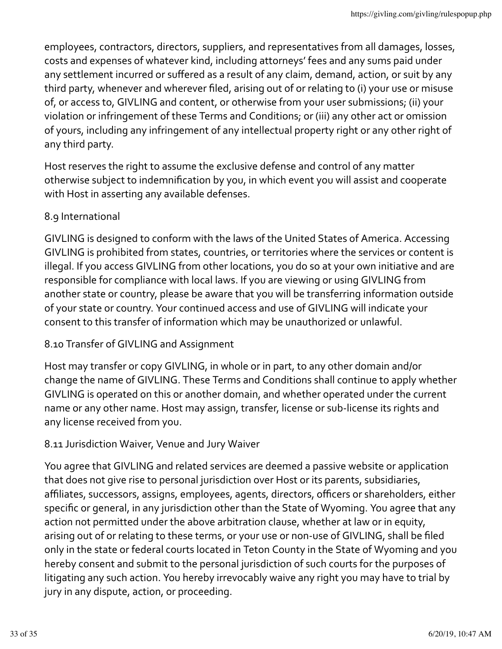employees, contractors, directors, suppliers, and representatives from all damages, losses, costs and expenses of whatever kind, including attorneys' fees and any sums paid under any settlement incurred or suffered as a result of any claim, demand, action, or suit by any third party, whenever and wherever filed, arising out of or relating to (i) your use or misuse of, or access to, GIVLING and content, or otherwise from your user submissions; (ii) your violation or infringement of these Terms and Conditions; or (iii) any other act or omission of yours, including any infringement of any intellectual property right or any other right of any third party.

Host reserves the right to assume the exclusive defense and control of any matter otherwise subject to indemnification by you, in which event you will assist and cooperate with Host in asserting any available defenses.

# 8.9 International

GIVLING is designed to conform with the laws of the United States of America. Accessing GIVLING is prohibited from states, countries, or territories where the services or content is illegal. If you access GIVLING from other locations, you do so at your own initiative and are responsible for compliance with local laws. If you are viewing or using GIVLING from another state or country, please be aware that you will be transferring information outside of your state or country. Your continued access and use of GIVLING will indicate your consent to this transfer of information which may be unauthorized or unlawful.

# 8.10 Transfer of GIVLING and Assignment

Host may transfer or copy GIVLING, in whole or in part, to any other domain and/or change the name of GIVLING. These Terms and Conditions shall continue to apply whether GIVLING is operated on this or another domain, and whether operated under the current name or any other name. Host may assign, transfer, license or sub-license its rights and any license received from you.

# 8.11 Jurisdiction Waiver, Venue and Jury Waiver

You agree that GIVLING and related services are deemed a passive website or application that does not give rise to personal jurisdiction over Host or its parents, subsidiaries, affiliates, successors, assigns, employees, agents, directors, officers or shareholders, either specific or general, in any jurisdiction other than the State of Wyoming. You agree that any action not permitted under the above arbitration clause, whether at law or in equity, arising out of or relating to these terms, or your use or non-use of GIVLING, shall be filed only in the state or federal courts located in Teton County in the State of Wyoming and you hereby consent and submit to the personal jurisdiction of such courts for the purposes of litigating any such action. You hereby irrevocably waive any right you may have to trial by jury in any dispute, action, or proceeding.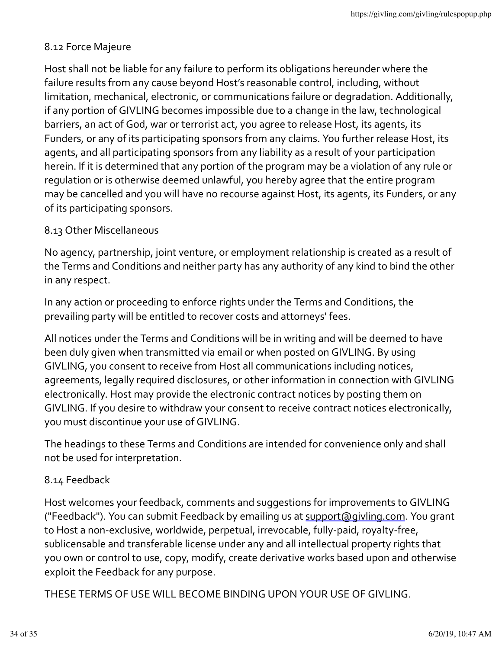## 8.12 Force Majeure

Host shall not be liable for any failure to perform its obligations hereunder where the failure results from any cause beyond Host's reasonable control, including, without limitation, mechanical, electronic, or communications failure or degradation. Additionally, if any portion of GIVLING becomes impossible due to a change in the law, technological barriers, an act of God, war or terrorist act, you agree to release Host, its agents, its Funders, or any of its participating sponsors from any claims. You further release Host, its agents, and all participating sponsors from any liability as a result of your participation herein. If it is determined that any portion of the program may be a violation of any rule or regulation or is otherwise deemed unlawful, you hereby agree that the entire program may be cancelled and you will have no recourse against Host, its agents, its Funders, or any of its participating sponsors.

### 8.13 Other Miscellaneous

No agency, partnership, joint venture, or employment relationship is created as a result of the Terms and Conditions and neither party has any authority of any kind to bind the other in any respect.

In any action or proceeding to enforce rights under the Terms and Conditions, the prevailing party will be entitled to recover costs and attorneys' fees.

All notices under the Terms and Conditions will be in writing and will be deemed to have been duly given when transmitted via email or when posted on GIVLING. By using GIVLING, you consent to receive from Host all communications including notices, agreements, legally required disclosures, or other information in connection with GIVLING electronically. Host may provide the electronic contract notices by posting them on GIVLING. If you desire to withdraw your consent to receive contract notices electronically, you must discontinue your use of GIVLING.

The headings to these Terms and Conditions are intended for convenience only and shall not be used for interpretation.

### 8.14 Feedback

Host welcomes your feedback, comments and suggestions for improvements to GIVLING ("Feedback"). You can submit Feedback by emailing us at support@givling.com. You grant to Host a non-exclusive, worldwide, perpetual, irrevocable, fully-paid, royalty-free, sublicensable and transferable license under any and all intellectual property rights that you own or control to use, copy, modify, create derivative works based upon and otherwise exploit the Feedback for any purpose.

THESE TERMS OF USE WILL BECOME BINDING UPON YOUR USE OF GIVLING.